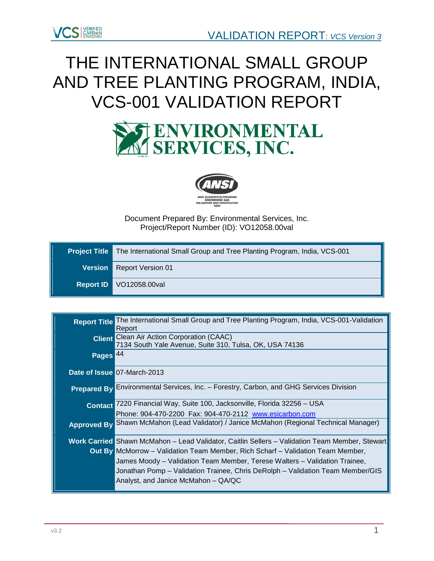

# THE INTERNATIONAL SMALL GROUP AND TREE PLANTING PROGRAM, INDIA, VCS-001 VALIDATION REPORT





Document Prepared By: Environmental Services, Inc. Project/Report Number (ID): VO12058.00val

| <b>Project Title</b> The International Small Group and Tree Planting Program, India, VCS-001 |
|----------------------------------------------------------------------------------------------|
| Version   Report Version 01                                                                  |
| Report ID VO12058.00val                                                                      |

| <b>Report Title</b> | The International Small Group and Tree Planting Program, India, VCS-001-Validation<br>Report                                                                         |
|---------------------|----------------------------------------------------------------------------------------------------------------------------------------------------------------------|
|                     | <b>Client</b> Clean Air Action Corporation (CAAC)<br>7134 South Yale Avenue, Suite 310, Tulsa, OK, USA 74136                                                         |
| Pages <sup>44</sup> |                                                                                                                                                                      |
|                     | Date of Issue 07-March-2013                                                                                                                                          |
|                     | Prepared By Environmental Services, Inc. - Forestry, Carbon, and GHG Services Division                                                                               |
|                     | Contact 7220 Financial Way, Suite 100, Jacksonville, Florida 32256 - USA<br>Phone: 904-470-2200 Fax: 904-470-2112 www.esicarbon.com                                  |
|                     | Approved By Shawn McMahon (Lead Validator) / Janice McMahon (Regional Technical Manager)                                                                             |
|                     | Work Carried Shawn McMahon - Lead Validator, Caitlin Sellers - Validation Team Member, Stewart                                                                       |
|                     | <b>Out By</b> McMorrow – Validation Team Member, Rich Scharf – Validation Team Member,<br>James Moody – Validation Team Member, Terese Walters – Validation Trainee, |
|                     | Jonathan Pomp – Validation Trainee, Chris DeRolph – Validation Team Member/GIS                                                                                       |
|                     | Analyst, and Janice McMahon – QA/QC                                                                                                                                  |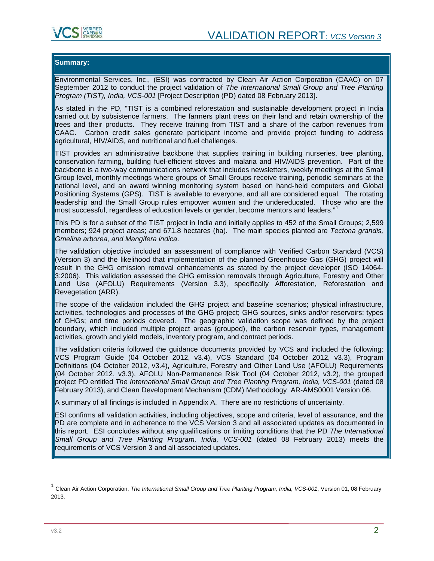

# **Summary:**

Environmental Services, Inc., (ESI) was contracted by Clean Air Action Corporation (CAAC) on 07 September 2012 to conduct the project validation of *The International Small Group and Tree Planting Program (TIST), India, VCS-001* [Project Description (PD) dated 08 February 2013].

As stated in the PD, "TIST is a combined reforestation and sustainable development project in India carried out by subsistence farmers. The farmers plant trees on their land and retain ownership of the trees and their products. They receive training from TIST and a share of the carbon revenues from<br>CAAC. Carbon credit sales generate participant income and provide project funding to address Carbon credit sales generate participant income and provide project funding to address agricultural, HIV/AIDS, and nutritional and fuel challenges.

TIST provides an administrative backbone that supplies training in building nurseries, tree planting, conservation farming, building fuel-efficient stoves and malaria and HIV/AIDS prevention. Part of the backbone is a two-way communications network that includes newsletters, weekly meetings at the Small Group level, monthly meetings where groups of Small Groups receive training, periodic seminars at the national level, and an award winning monitoring system based on hand-held computers and Global Positioning Systems (GPS). TIST is available to everyone, and all are considered equal. The rotating leadership and the Small Group rules empower women and the undereducated. Those who are the most successful, regardless of education levels or gender, become mentors and leaders."<sup>[1](#page-1-0)</sup>

This PD is for a subset of the TIST project in India and initially applies to 452 of the Small Groups; 2,599 members; 924 project areas; and 671.8 hectares (ha). The main species planted are *Tectona grandis, Gmelina arborea, and Mangifera indica*.

The validation objective included an assessment of compliance with Verified Carbon Standard (VCS) (Version 3) and the likelihood that implementation of the planned Greenhouse Gas (GHG) project will result in the GHG emission removal enhancements as stated by the project developer (ISO 14064- 3:2006). This validation assessed the GHG emission removals through Agriculture, Forestry and Other Land Use (AFOLU) Requirements (Version 3.3), specifically Afforestation, Reforestation and Revegetation (ARR).

The scope of the validation included the GHG project and baseline scenarios; physical infrastructure, activities, technologies and processes of the GHG project; GHG sources, sinks and/or reservoirs; types of GHGs; and time periods covered. The geographic validation scope was defined by the project boundary, which included multiple project areas (grouped), the carbon reservoir types, management activities, growth and yield models, inventory program, and contract periods.

The validation criteria followed the guidance documents provided by VCS and included the following: VCS Program Guide (04 October 2012, v3.4), VCS Standard (04 October 2012, v3.3), Program Definitions (04 October 2012, v3.4), Agriculture, Forestry and Other Land Use (AFOLU) Requirements (04 October 2012, v3.3), AFOLU Non-Permanence Risk Tool (04 October 2012, v3.2), the grouped project PD entitled *The International Small Group and Tree Planting Program, India, VCS-001* (dated 08 February 2013), and Clean Development Mechanism (CDM) Methodology AR-AMS0001 Version 06.

A summary of all findings is included in Appendix A. There are no restrictions of uncertainty.

ESI confirms all validation activities, including objectives, scope and criteria, level of assurance, and the PD are complete and in adherence to the VCS Version 3 and all associated updates as documented in this report. ESI concludes without any qualifications or limiting conditions that the PD *The International Small Group and Tree Planting Program, India, VCS-001* (dated 08 February 2013) meets the requirements of VCS Version 3 and all associated updates.

<span id="page-1-0"></span><sup>1</sup> Clean Air Action Corporation, *The International Small Group and Tree Planting Program, India, VCS-001*, Version 01, 08 February 2013.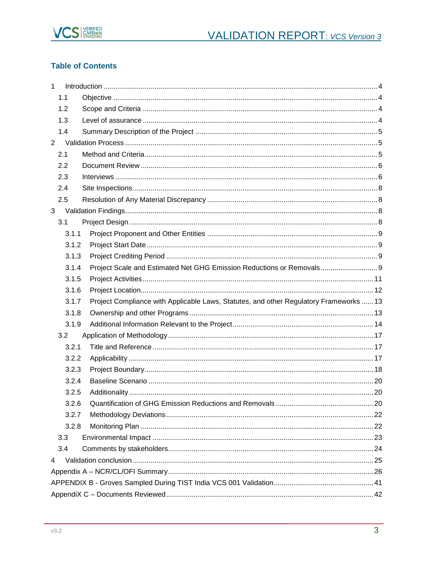

# **Table of Contents**

| $\mathbf{1}$ |       |                                                                                        |  |
|--------------|-------|----------------------------------------------------------------------------------------|--|
|              | 1.1   |                                                                                        |  |
|              | 1.2   |                                                                                        |  |
|              | 1.3   |                                                                                        |  |
|              | 1.4   |                                                                                        |  |
| $2^{\circ}$  |       |                                                                                        |  |
|              | 2.1   |                                                                                        |  |
|              | 2.2   |                                                                                        |  |
|              | 2.3   |                                                                                        |  |
|              | 2.4   |                                                                                        |  |
|              | 2.5   |                                                                                        |  |
| 3            |       |                                                                                        |  |
|              | 3.1   |                                                                                        |  |
|              | 3.1.1 |                                                                                        |  |
|              | 3.1.2 |                                                                                        |  |
|              | 3.1.3 |                                                                                        |  |
|              | 3.1.4 | Project Scale and Estimated Net GHG Emission Reductions or Removals 9                  |  |
|              | 3.1.5 |                                                                                        |  |
|              | 3.1.6 |                                                                                        |  |
|              | 3.1.7 | Project Compliance with Applicable Laws, Statutes, and other Regulatory Frameworks  13 |  |
|              | 3.1.8 |                                                                                        |  |
|              | 3.1.9 |                                                                                        |  |
|              | 3.2   |                                                                                        |  |
|              | 3.2.1 |                                                                                        |  |
|              | 3.2.2 |                                                                                        |  |
|              | 3.2.3 |                                                                                        |  |
|              | 3.2.4 |                                                                                        |  |
|              | 3.2.5 |                                                                                        |  |
|              | 3.2.6 |                                                                                        |  |
|              | 3.2.7 |                                                                                        |  |
|              | 3.2.8 |                                                                                        |  |
|              | 3.3   |                                                                                        |  |
|              | 3.4   |                                                                                        |  |
| 4            |       |                                                                                        |  |
|              |       |                                                                                        |  |
|              |       |                                                                                        |  |
|              |       |                                                                                        |  |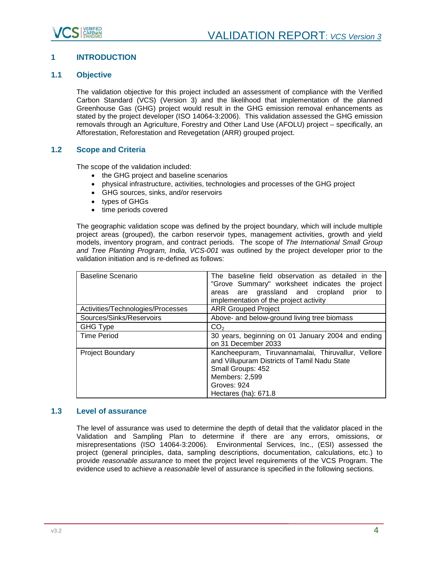

# <span id="page-3-0"></span>**1 INTRODUCTION**

# <span id="page-3-1"></span>**1.1 Objective**

The validation objective for this project included an assessment of compliance with the Verified Carbon Standard (VCS) (Version 3) and the likelihood that implementation of the planned Greenhouse Gas (GHG) project would result in the GHG emission removal enhancements as stated by the project developer (ISO 14064-3:2006). This validation assessed the GHG emission removals through an Agriculture, Forestry and Other Land Use (AFOLU) project – specifically, an Afforestation, Reforestation and Revegetation (ARR) grouped project.

# <span id="page-3-2"></span>**1.2 Scope and Criteria**

The scope of the validation included:

- the GHG project and baseline scenarios
- physical infrastructure, activities, technologies and processes of the GHG project
- GHG sources, sinks, and/or reservoirs
- types of GHGs
- time periods covered

The geographic validation scope was defined by the project boundary, which will include multiple project areas (grouped), the carbon reservoir types, management activities, growth and yield models, inventory program, and contract periods. The scope of *The International Small Group and Tree Planting Program, India, VCS-001* was outlined by the project developer prior to the validation initiation and is re-defined as follows:

| Baseline Scenario                 | The baseline field observation as detailed in the<br>"Grove Summary" worksheet indicates the project<br>areas are grassland and cropland<br>prior<br>to<br>implementation of the project activity |
|-----------------------------------|---------------------------------------------------------------------------------------------------------------------------------------------------------------------------------------------------|
| Activities/Technologies/Processes | <b>ARR Grouped Project</b>                                                                                                                                                                        |
| Sources/Sinks/Reservoirs          | Above- and below-ground living tree biomass                                                                                                                                                       |
| <b>GHG Type</b>                   | CO <sub>2</sub>                                                                                                                                                                                   |
| <b>Time Period</b>                | 30 years, beginning on 01 January 2004 and ending<br>on 31 December 2033                                                                                                                          |
| <b>Project Boundary</b>           | Kancheepuram, Tiruvannamalai, Thiruvallur, Vellore<br>and Villupuram Districts of Tamil Nadu State<br>Small Groups: 452<br>Members: 2,599<br>Groves: 924<br>Hectares (ha): 671.8                  |

# <span id="page-3-3"></span>**1.3 Level of assurance**

The level of assurance was used to determine the depth of detail that the validator placed in the Validation and Sampling Plan to determine if there are any errors, omissions, or misrepresentations (ISO 14064-3:2006). Environmental Services, Inc., (ESI) assessed the project (general principles, data, sampling descriptions, documentation, calculations, etc.) to provide *reasonable assurance* to meet the project level requirements of the VCS Program. The evidence used to achieve a *reasonable* level of assurance is specified in the following sections*.*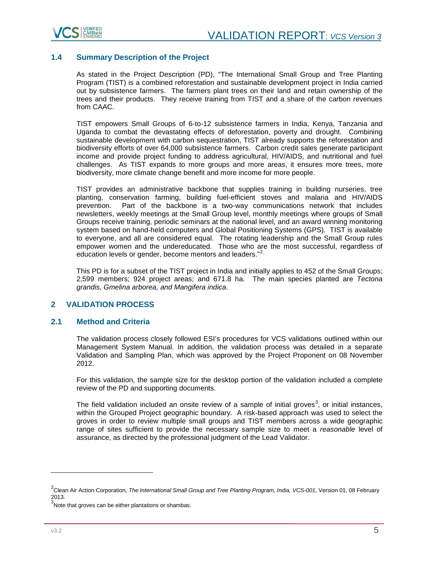

# <span id="page-4-0"></span>**1.4 Summary Description of the Project**

As stated in the Project Description (PD), "The International Small Group and Tree Planting Program (TIST) is a combined reforestation and sustainable development project in India carried out by subsistence farmers. The farmers plant trees on their land and retain ownership of the trees and their products. They receive training from TIST and a share of the carbon revenues from CAAC.

TIST empowers Small Groups of 6-to-12 subsistence farmers in India, Kenya, Tanzania and Uganda to combat the devastating effects of deforestation, poverty and drought. Combining sustainable development with carbon sequestration, TIST already supports the reforestation and biodiversity efforts of over 64,000 subsistence farmers. Carbon credit sales generate participant income and provide project funding to address agricultural, HIV/AIDS, and nutritional and fuel challenges. As TIST expands to more groups and more areas, it ensures more trees, more biodiversity, more climate change benefit and more income for more people.

TIST provides an administrative backbone that supplies training in building nurseries, tree planting, conservation farming, building fuel-efficient stoves and malaria and HIV/AIDS prevention. Part of the backbone is a two-way communications network that includes newsletters, weekly meetings at the Small Group level, monthly meetings where groups of Small Groups receive training, periodic seminars at the national level, and an award winning monitoring system based on hand-held computers and Global Positioning Systems (GPS). TIST is available to everyone, and all are considered equal. The rotating leadership and the Small Group rules empower women and the undereducated. Those who are the most successful, regardless of education levels or gender, become mentors and leaders."<sup>[2](#page-4-3)</sup>

This PD is for a subset of the TIST project in India and initially applies to 452 of the Small Groups; 2,599 members; 924 project areas; and 671.8 ha. The main species planted are *Tectona grandis, Gmelina arborea, and Mangifera indica*.

# <span id="page-4-2"></span><span id="page-4-1"></span>**2 VALIDATION PROCESS**

# **2.1 Method and Criteria**

The validation process closely followed ESI's procedures for VCS validations outlined within our Management System Manual. In addition, the validation process was detailed in a separate Validation and Sampling Plan, which was approved by the Project Proponent on 08 November 2012.

For this validation, the sample size for the desktop portion of the validation included a complete review of the PD and supporting documents.

The field validation included an onsite review of a sample of initial groves<sup>[3](#page-4-4)</sup>, or initial instances, within the Grouped Project geographic boundary. A risk-based approach was used to select the groves in order to review multiple small groups and TIST members across a wide geographic range of sites sufficient to provide the necessary sample size to meet a *reasonable* level of assurance, as directed by the professional judgment of the Lead Validator.

<span id="page-4-3"></span><sup>2</sup> Clean Air Action Corporation, *The International Small Group and Tree Planting Program, India, VCS-001*, Version 01, 08 February 2013.

<span id="page-4-4"></span> $3$ Note that groves can be either plantations or shambas.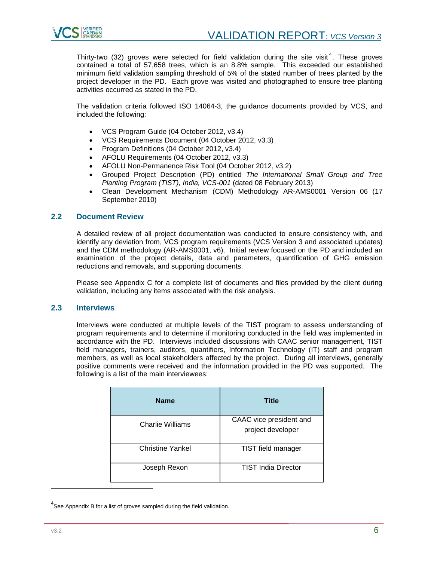

Thirty-two (32) groves were selected for field validation during the site visit<sup>[4](#page-5-2)</sup>. These groves contained a total of 57,658 trees, which is an 8.8% sample. This exceeded our established minimum field validation sampling threshold of 5% of the stated number of trees planted by the project developer in the PD. Each grove was visited and photographed to ensure tree planting activities occurred as stated in the PD.

The validation criteria followed ISO 14064-3, the guidance documents provided by VCS, and included the following:

- VCS Program Guide (04 October 2012, v3.4)
- VCS Requirements Document (04 October 2012, v3.3)
- Program Definitions (04 October 2012, v3.4)
- AFOLU Requirements (04 October 2012, v3.3)
- AFOLU Non-Permanence Risk Tool (04 October 2012, v3.2)
- Grouped Project Description (PD) entitled *The International Small Group and Tree Planting Program (TIST), India, VCS-001* (dated 08 February 2013)
- Clean Development Mechanism (CDM) Methodology AR-AMS0001 Version 06 (17 September 2010)

# <span id="page-5-0"></span>**2.2 Document Review**

A detailed review of all project documentation was conducted to ensure consistency with, and identify any deviation from, VCS program requirements (VCS Version 3 and associated updates) and the CDM methodology (AR-AMS0001, v6). Initial review focused on the PD and included an examination of the project details, data and parameters, quantification of GHG emission reductions and removals, and supporting documents.

Please see Appendix C for a complete list of documents and files provided by the client during validation, including any items associated with the risk analysis.

# <span id="page-5-1"></span>**2.3 Interviews**

Interviews were conducted at multiple levels of the TIST program to assess understanding of program requirements and to determine if monitoring conducted in the field was implemented in accordance with the PD. Interviews included discussions with CAAC senior management, TIST field managers, trainers, auditors, quantifiers, Information Technology (IT) staff and program members, as well as local stakeholders affected by the project. During all interviews, generally positive comments were received and the information provided in the PD was supported. The following is a list of the main interviewees:

| <b>Name</b>             | <b>Title</b>                                 |
|-------------------------|----------------------------------------------|
| Charlie Williams        | CAAC vice president and<br>project developer |
| <b>Christine Yankel</b> | TIST field manager                           |
| Joseph Rexon            | <b>TIST India Director</b>                   |

<span id="page-5-2"></span> $4$ See Appendix B for a list of groves sampled during the field validation.

j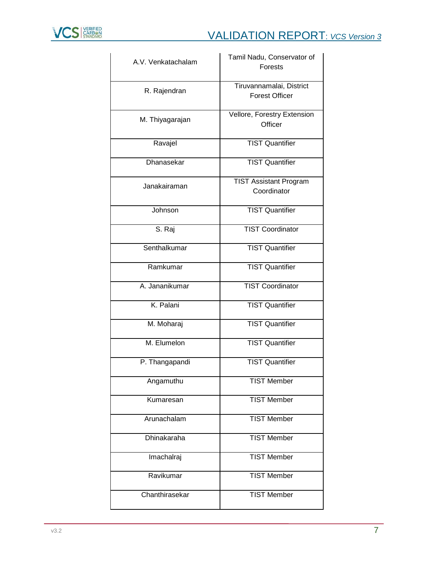

| A.V. Venkatachalam | Tamil Nadu, Conservator of             |
|--------------------|----------------------------------------|
|                    | <b>Forests</b>                         |
|                    | Tiruvannamalai, District               |
| R. Rajendran       | <b>Forest Officer</b>                  |
|                    |                                        |
| M. Thiyagarajan    | Vellore, Forestry Extension<br>Officer |
|                    |                                        |
| Ravajel            | <b>TIST Quantifier</b>                 |
|                    |                                        |
| <b>Dhanasekar</b>  | <b>TIST Quantifier</b>                 |
|                    | <b>TIST Assistant Program</b>          |
| Janakairaman       | Coordinator                            |
|                    |                                        |
| Johnson            | <b>TIST Quantifier</b>                 |
|                    |                                        |
| S. Raj             | <b>TIST Coordinator</b>                |
| Senthalkumar       | <b>TIST Quantifier</b>                 |
|                    |                                        |
| Ramkumar           | <b>TIST Quantifier</b>                 |
| A. Jananikumar     | <b>TIST Coordinator</b>                |
|                    |                                        |
| K. Palani          | <b>TIST Quantifier</b>                 |
|                    |                                        |
| M. Moharaj         | <b>TIST Quantifier</b>                 |
| M. Elumelon        | <b>TIST Quantifier</b>                 |
|                    |                                        |
| P. Thangapandi     | <b>TIST Quantifier</b>                 |
| Angamuthu          | <b>TIST Member</b>                     |
|                    |                                        |
| Kumaresan          | <b>TIST Member</b>                     |
|                    |                                        |
| Arunachalam        | <b>TIST Member</b>                     |
| Dhinakaraha        | <b>TIST Member</b>                     |
|                    |                                        |
| Imachalraj         | <b>TIST Member</b>                     |
| Ravikumar          | <b>TIST Member</b>                     |
|                    |                                        |
| Chanthirasekar     | <b>TIST Member</b>                     |
|                    |                                        |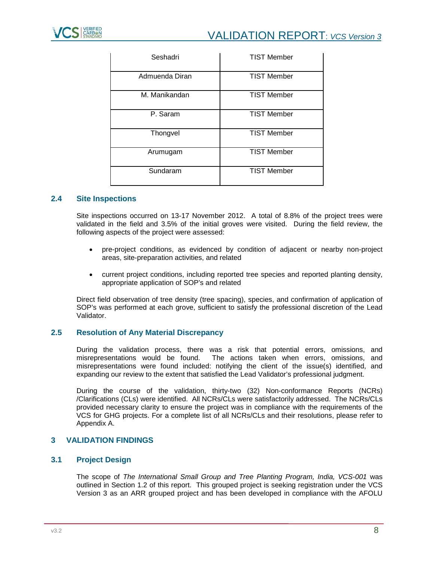| Seshadri       | <b>TIST Member</b> |
|----------------|--------------------|
| Admuenda Diran | <b>TIST Member</b> |
| M. Manikandan  | <b>TIST Member</b> |
| P. Saram       | <b>TIST Member</b> |
| Thongvel       | <b>TIST Member</b> |
| Arumugam       | <b>TIST Member</b> |
| Sundaram       | <b>TIST Member</b> |

# <span id="page-7-0"></span>**2.4 Site Inspections**

Site inspections occurred on 13-17 November 2012. A total of 8.8% of the project trees were validated in the field and 3.5% of the initial groves were visited. During the field review, the following aspects of the project were assessed:

- pre-project conditions, as evidenced by condition of adjacent or nearby non-project areas, site-preparation activities, and related
- current project conditions, including reported tree species and reported planting density, appropriate application of SOP's and related

Direct field observation of tree density (tree spacing), species, and confirmation of application of SOP's was performed at each grove, sufficient to satisfy the professional discretion of the Lead Validator.

# <span id="page-7-1"></span>**2.5 Resolution of Any Material Discrepancy**

During the validation process, there was a risk that potential errors, omissions, and misrepresentations would be found. The actions taken when errors, omissions, and misrepresentations were found included: notifying the client of the issue(s) identified, and expanding our review to the extent that satisfied the Lead Validator's professional judgment.

During the course of the validation, thirty-two (32) Non-conformance Reports (NCRs) /Clarifications (CLs) were identified. All NCRs/CLs were satisfactorily addressed. The NCRs/CLs provided necessary clarity to ensure the project was in compliance with the requirements of the VCS for GHG projects. For a complete list of all NCRs/CLs and their resolutions, please refer to Appendix A.

# <span id="page-7-2"></span>**3 VALIDATION FINDINGS**

# <span id="page-7-3"></span>**3.1 Project Design**

The scope of *The International Small Group and Tree Planting Program, India, VCS-001* was outlined in Section 1.2 of this report. This grouped project is seeking registration under the VCS Version 3 as an ARR grouped project and has been developed in compliance with the AFOLU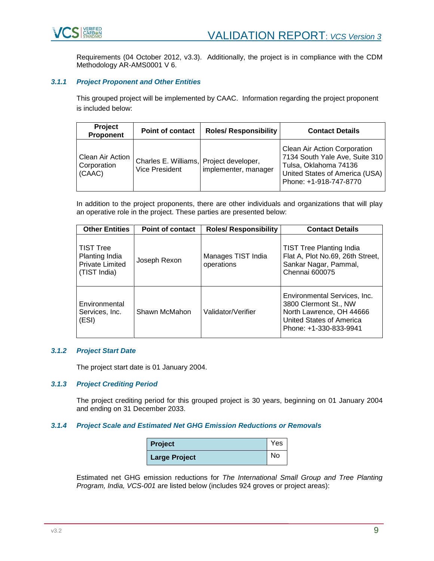

Requirements (04 October 2012, v3.3). Additionally, the project is in compliance with the CDM Methodology AR-AMS0001 V 6.

# <span id="page-8-0"></span>*3.1.1 Project Proponent and Other Entities*

This grouped project will be implemented by CAAC. Information regarding the project proponent is included below:

| Project<br>Proponent                      | <b>Point of contact</b>                                   | <b>Roles/ Responsibility</b> | <b>Contact Details</b>                                                                                                                              |
|-------------------------------------------|-----------------------------------------------------------|------------------------------|-----------------------------------------------------------------------------------------------------------------------------------------------------|
| Clean Air Action<br>Corporation<br>(CAAC) | Charles E. Williams, Project developer,<br>Vice President | implementer, manager         | Clean Air Action Corporation<br>7134 South Yale Ave, Suite 310<br>Tulsa, Oklahoma 74136<br>United States of America (USA)<br>Phone: +1-918-747-8770 |

In addition to the project proponents, there are other individuals and organizations that will play an operative role in the project. These parties are presented below:

| <b>Other Entities</b>                                                        | <b>Point of contact</b> | <b>Roles/ Responsibility</b>     | <b>Contact Details</b>                                                                                                                         |
|------------------------------------------------------------------------------|-------------------------|----------------------------------|------------------------------------------------------------------------------------------------------------------------------------------------|
| <b>TIST Tree</b><br>Planting India<br><b>Private Limited</b><br>(TIST India) | Joseph Rexon            | Manages TIST India<br>operations | <b>TIST Tree Planting India</b><br>Flat A, Plot No.69, 26th Street,<br>Sankar Nagar, Pammal,<br>Chennai 600075                                 |
| Environmental<br>Services, Inc.<br>(ESI)                                     | Shawn McMahon           | Validator/Verifier               | Environmental Services, Inc.<br>3800 Clermont St., NW<br>North Lawrence, OH 44666<br><b>United States of America</b><br>Phone: +1-330-833-9941 |

# <span id="page-8-1"></span>*3.1.2 Project Start Date*

The project start date is 01 January 2004.

#### <span id="page-8-2"></span>*3.1.3 Project Crediting Period*

The project crediting period for this grouped project is 30 years, beginning on 01 January 2004 and ending on 31 December 2033.

# <span id="page-8-3"></span>*3.1.4 Project Scale and Estimated Net GHG Emission Reductions or Removals*

| <b>Project</b>       | Yes |
|----------------------|-----|
| <b>Large Project</b> | No  |

Estimated net GHG emission reductions for *The International Small Group and Tree Planting Program, India, VCS-001* are listed below (includes 924 groves or project areas):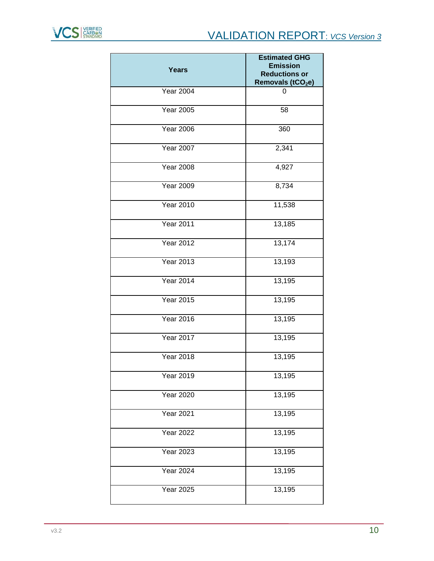

| <b>Years</b>     | <b>Estimated GHG</b><br><b>Emission</b><br><b>Reductions or</b><br>Removals (tCO <sub>2</sub> e) |
|------------------|--------------------------------------------------------------------------------------------------|
| <b>Year 2004</b> | 0                                                                                                |
| <b>Year 2005</b> | 58                                                                                               |
| <b>Year 2006</b> | 360                                                                                              |
| <b>Year 2007</b> | 2,341                                                                                            |
| <b>Year 2008</b> | 4,927                                                                                            |
| <b>Year 2009</b> | 8,734                                                                                            |
| <b>Year 2010</b> | 11,538                                                                                           |
| <b>Year 2011</b> | 13,185                                                                                           |
| <b>Year 2012</b> | 13,174                                                                                           |
| <b>Year 2013</b> | 13,193                                                                                           |
| <b>Year 2014</b> | 13,195                                                                                           |
| <b>Year 2015</b> | 13,195                                                                                           |
| <b>Year 2016</b> | 13,195                                                                                           |
| <b>Year 2017</b> | 13,195                                                                                           |
| <b>Year 2018</b> | 13,195                                                                                           |
| <b>Year 2019</b> | 13,195                                                                                           |
| <b>Year 2020</b> | 13,195                                                                                           |
| <b>Year 2021</b> | 13,195                                                                                           |
| <b>Year 2022</b> | 13,195                                                                                           |
| <b>Year 2023</b> | 13,195                                                                                           |
| <b>Year 2024</b> | 13,195                                                                                           |
| <b>Year 2025</b> | 13,195                                                                                           |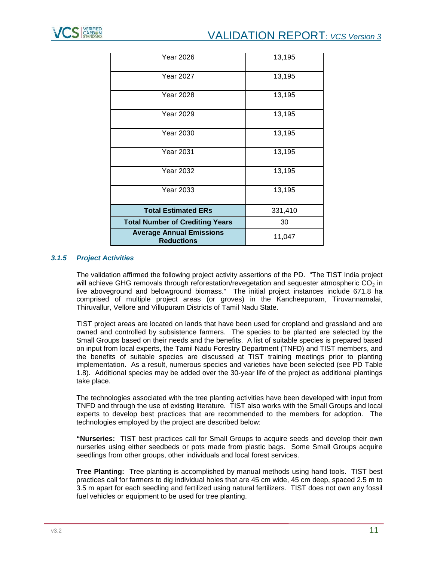| <b>Year 2026</b>                                     | 13,195  |
|------------------------------------------------------|---------|
| <b>Year 2027</b>                                     | 13,195  |
| <b>Year 2028</b>                                     | 13,195  |
| <b>Year 2029</b>                                     | 13,195  |
| Year 2030                                            | 13,195  |
| <b>Year 2031</b>                                     | 13,195  |
| <b>Year 2032</b>                                     | 13,195  |
| <b>Year 2033</b>                                     | 13,195  |
| <b>Total Estimated ERs</b>                           | 331,410 |
| <b>Total Number of Crediting Years</b>               | 30      |
| <b>Average Annual Emissions</b><br><b>Reductions</b> | 11,047  |

# <span id="page-10-0"></span>*3.1.5 Project Activities*

The validation affirmed the following project activity assertions of the PD. "The TIST India project will achieve GHG removals through reforestation/revegetation and sequester atmospheric  $CO<sub>2</sub>$  in live aboveground and belowground biomass." The initial project instances include 671.8 ha comprised of multiple project areas (or groves) in the Kancheepuram, Tiruvannamalai, Thiruvallur, Vellore and Villupuram Districts of Tamil Nadu State.

TIST project areas are located on lands that have been used for cropland and grassland and are owned and controlled by subsistence farmers. The species to be planted are selected by the Small Groups based on their needs and the benefits. A list of suitable species is prepared based on input from local experts, the Tamil Nadu Forestry Department (TNFD) and TIST members, and the benefits of suitable species are discussed at TIST training meetings prior to planting implementation. As a result, numerous species and varieties have been selected (see PD Table 1.8). Additional species may be added over the 30-year life of the project as additional plantings take place.

The technologies associated with the tree planting activities have been developed with input from TNFD and through the use of existing literature. TIST also works with the Small Groups and local experts to develop best practices that are recommended to the members for adoption. The technologies employed by the project are described below:

**"Nurseries:** TIST best practices call for Small Groups to acquire seeds and develop their own nurseries using either seedbeds or pots made from plastic bags. Some Small Groups acquire seedlings from other groups, other individuals and local forest services.

**Tree Planting:** Tree planting is accomplished by manual methods using hand tools. TIST best practices call for farmers to dig individual holes that are 45 cm wide, 45 cm deep, spaced 2.5 m to 3.5 m apart for each seedling and fertilized using natural fertilizers. TIST does not own any fossil fuel vehicles or equipment to be used for tree planting.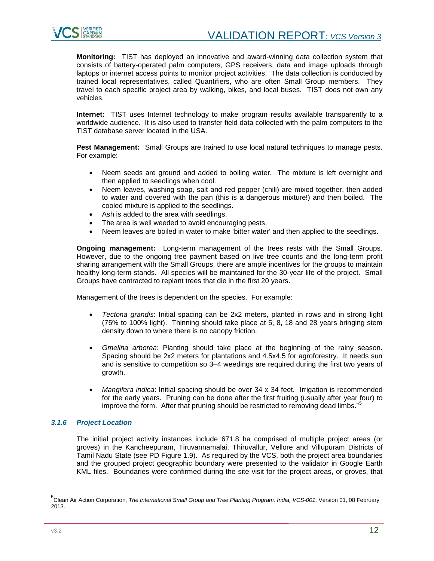

**Monitoring:** TIST has deployed an innovative and award-winning data collection system that consists of battery-operated palm computers, GPS receivers, data and image uploads through laptops or internet access points to monitor project activities. The data collection is conducted by trained local representatives, called Quantifiers, who are often Small Group members. They travel to each specific project area by walking, bikes, and local buses. TIST does not own any vehicles.

**Internet:** TIST uses Internet technology to make program results available transparently to a worldwide audience. It is also used to transfer field data collected with the palm computers to the TIST database server located in the USA.

**Pest Management:** Small Groups are trained to use local natural techniques to manage pests. For example:

- Neem seeds are ground and added to boiling water. The mixture is left overnight and then applied to seedlings when cool.
- Neem leaves, washing soap, salt and red pepper (chili) are mixed together, then added to water and covered with the pan (this is a dangerous mixture!) and then boiled. The cooled mixture is applied to the seedlings.
- Ash is added to the area with seedlings.
- The area is well weeded to avoid encouraging pests.
- Neem leaves are boiled in water to make 'bitter water' and then applied to the seedlings.

**Ongoing management:** Long-term management of the trees rests with the Small Groups. However, due to the ongoing tree payment based on live tree counts and the long-term profit sharing arrangement with the Small Groups, there are ample incentives for the groups to maintain healthy long-term stands. All species will be maintained for the 30-year life of the project. Small Groups have contracted to replant trees that die in the first 20 years.

Management of the trees is dependent on the species. For example:

- *Tectona grandis*: Initial spacing can be 2x2 meters, planted in rows and in strong light (75% to 100% light). Thinning should take place at 5, 8, 18 and 28 years bringing stem density down to where there is no canopy friction.
- *Gmelina arborea*: Planting should take place at the beginning of the rainy season. Spacing should be 2x2 meters for plantations and 4.5x4.5 for agroforestry. It needs sun and is sensitive to competition so 3–4 weedings are required during the first two years of growth.
- *Mangifera indica*: Initial spacing should be over 34 x 34 feet. Irrigation is recommended for the early years. Pruning can be done after the first fruiting (usually after year four) to improve the form. After that pruning should be restricted to removing dead limbs."<sup>[5](#page-11-1)</sup>

# <span id="page-11-0"></span>*3.1.6 Project Location*

The initial project activity instances include 671.8 ha comprised of multiple project areas (or groves) in the Kancheepuram, Tiruvannamalai, Thiruvallur, Vellore and Villupuram Districts of Tamil Nadu State (see PD Figure 1.9). As required by the VCS, both the project area boundaries and the grouped project geographic boundary were presented to the validator in Google Earth KML files. Boundaries were confirmed during the site visit for the project areas, or groves, that

<span id="page-11-1"></span><sup>5</sup> Clean Air Action Corporation, *The International Small Group and Tree Planting Program, India, VCS-001*, Version 01, 08 February 2013.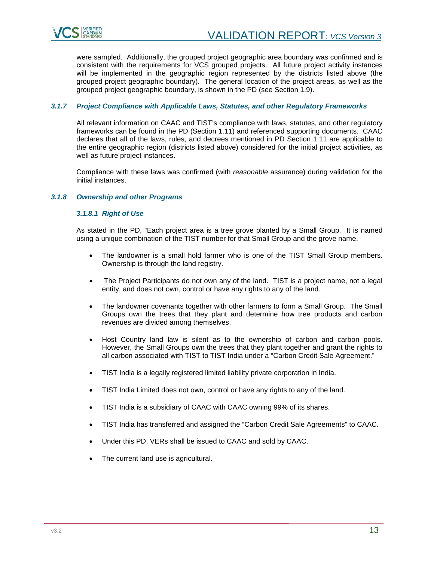

were sampled. Additionally, the grouped project geographic area boundary was confirmed and is consistent with the requirements for VCS grouped projects. All future project activity instances will be implemented in the geographic region represented by the districts listed above (the grouped project geographic boundary). The general location of the project areas, as well as the grouped project geographic boundary, is shown in the PD (see Section 1.9).

# <span id="page-12-0"></span>*3.1.7 Project Compliance with Applicable Laws, Statutes, and other Regulatory Frameworks*

All relevant information on CAAC and TIST's compliance with laws, statutes, and other regulatory frameworks can be found in the PD (Section 1.11) and referenced supporting documents. CAAC declares that all of the laws, rules, and decrees mentioned in PD Section 1.11 are applicable to the entire geographic region (districts listed above) considered for the initial project activities, as well as future project instances.

Compliance with these laws was confirmed (with *reasonable* assurance) during validation for the initial instances.

# <span id="page-12-1"></span>*3.1.8 Ownership and other Programs*

# *3.1.8.1 Right of Use*

As stated in the PD, "Each project area is a tree grove planted by a Small Group. It is named using a unique combination of the TIST number for that Small Group and the grove name.

- The landowner is a small hold farmer who is one of the TIST Small Group members. Ownership is through the land registry.
- The Project Participants do not own any of the land. TIST is a project name, not a legal entity, and does not own, control or have any rights to any of the land.
- The landowner covenants together with other farmers to form a Small Group. The Small Groups own the trees that they plant and determine how tree products and carbon revenues are divided among themselves.
- Host Country land law is silent as to the ownership of carbon and carbon pools. However, the Small Groups own the trees that they plant together and grant the rights to all carbon associated with TIST to TIST India under a "Carbon Credit Sale Agreement."
- TIST India is a legally registered limited liability private corporation in India.
- TIST India Limited does not own, control or have any rights to any of the land.
- TIST India is a subsidiary of CAAC with CAAC owning 99% of its shares.
- TIST India has transferred and assigned the "Carbon Credit Sale Agreements" to CAAC.
- Under this PD, VERs shall be issued to CAAC and sold by CAAC.
- The current land use is agricultural.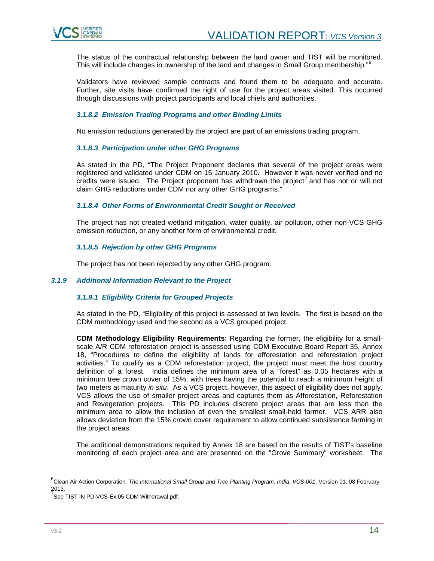

The status of the contractual relationship between the land owner and TIST will be monitored. This will include changes in ownership of the land and changes in Small Group membership."<sup>[6](#page-13-1)</sup>

Validators have reviewed sample contracts and found them to be adequate and accurate. Further, site visits have confirmed the right of use for the project areas visited. This occurred through discussions with project participants and local chiefs and authorities.

# *3.1.8.2 Emission Trading Programs and other Binding Limits*

No emission reductions generated by the project are part of an emissions trading program.

# *3.1.8.3 Participation under other GHG Programs*

As stated in the PD, "The Project Proponent declares that several of the project areas were registered and validated under CDM on 15 January 2010. However it was never verified and no credits were issued. The Project proponent has withdrawn the project<sup>[7](#page-13-2)</sup> and has not or will not claim GHG reductions under CDM nor any other GHG programs."

#### *3.1.8.4 Other Forms of Environmental Credit Sought or Received*

The project has not created wetland mitigation, water quality, air pollution, other non-VCS GHG emission reduction, or any another form of environmental credit.

#### *3.1.8.5 Rejection by other GHG Programs*

The project has not been rejected by any other GHG program.

#### <span id="page-13-0"></span>*3.1.9 Additional Information Relevant to the Project*

# *3.1.9.1 Eligibility Criteria for Grouped Projects*

As stated in the PD, "Eligibility of this project is assessed at two levels. The first is based on the CDM methodology used and the second as a VCS grouped project.

**CDM Methodology Eligibility Requirements**: Regarding the former, the eligibility for a smallscale A/R CDM reforestation project is assessed using CDM Executive Board Report 35, Annex 18, "Procedures to define the eligibility of lands for afforestation and reforestation project activities." To qualify as a CDM reforestation project, the project must meet the host country definition of a forest. India defines the minimum area of a "forest" as 0.05 hectares with a minimum tree crown cover of 15%, with trees having the potential to reach a minimum height of two meters at maturity *in situ*. As a VCS project, however, this aspect of eligibility does not apply. VCS allows the use of smaller project areas and captures them as Afforestation, Reforestation and Revegetation projects. This PD includes discrete project areas that are less than the minimum area to allow the inclusion of even the smallest small-hold farmer. VCS ARR also allows deviation from the 15% crown cover requirement to allow continued subsistence farming in the project areas.

The additional demonstrations required by Annex 18 are based on the results of TIST's baseline monitoring of each project area and are presented on the "Grove Summary" worksheet. The

<span id="page-13-1"></span><sup>6</sup> Clean Air Action Corporation, *The International Small Group and Tree Planting Program, India, VCS-001*, Version 01, 08 February 2013.

<span id="page-13-2"></span>See TIST IN PD-VCS-Ex 05 CDM Withdrawal.pdf.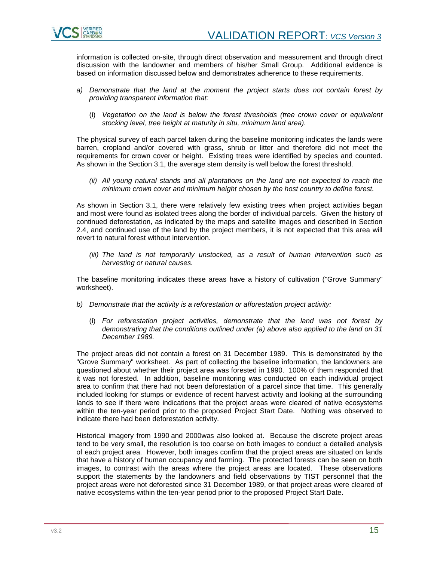

information is collected on-site, through direct observation and measurement and through direct discussion with the landowner and members of his/her Small Group. Additional evidence is based on information discussed below and demonstrates adherence to these requirements.

- *a) Demonstrate that the land at the moment the project starts does not contain forest by providing transparent information that:*
	- (i) *Vegetation on the land is below the forest thresholds (tree crown cover or equivalent stocking level, tree height at maturity in situ, minimum land area).*

The physical survey of each parcel taken during the baseline monitoring indicates the lands were barren, cropland and/or covered with grass, shrub or litter and therefore did not meet the requirements for crown cover or height. Existing trees were identified by species and counted. As shown in the Section 3.1, the average stem density is well below the forest threshold.

*(ii) All young natural stands and all plantations on the land are not expected to reach the minimum crown cover and minimum height chosen by the host country to define forest.*

As shown in Section 3.1, there were relatively few existing trees when project activities began and most were found as isolated trees along the border of individual parcels. Given the history of continued deforestation, as indicated by the maps and satellite images and described in Section 2.4, and continued use of the land by the project members, it is not expected that this area will revert to natural forest without intervention.

*(iii) The land is not temporarily unstocked, as a result of human intervention such as harvesting or natural causes.*

The baseline monitoring indicates these areas have a history of cultivation ("Grove Summary" worksheet).

- *b) Demonstrate that the activity is a reforestation or afforestation project activity:*
	- (i) *For reforestation project activities, demonstrate that the land was not forest by demonstrating that the conditions outlined under (a) above also applied to the land on 31 December 1989.*

The project areas did not contain a forest on 31 December 1989. This is demonstrated by the "Grove Summary" worksheet. As part of collecting the baseline information, the landowners are questioned about whether their project area was forested in 1990. 100% of them responded that it was not forested. In addition, baseline monitoring was conducted on each individual project area to confirm that there had not been deforestation of a parcel since that time. This generally included looking for stumps or evidence of recent harvest activity and looking at the surrounding lands to see if there were indications that the project areas were cleared of native ecosystems within the ten-year period prior to the proposed Project Start Date. Nothing was observed to indicate there had been deforestation activity.

Historical imagery from 1990 and 2000was also looked at. Because the discrete project areas tend to be very small, the resolution is too coarse on both images to conduct a detailed analysis of each project area. However, both images confirm that the project areas are situated on lands that have a history of human occupancy and farming. The protected forests can be seen on both images, to contrast with the areas where the project areas are located. These observations support the statements by the landowners and field observations by TIST personnel that the project areas were not deforested since 31 December 1989, or that project areas were cleared of native ecosystems within the ten-year period prior to the proposed Project Start Date.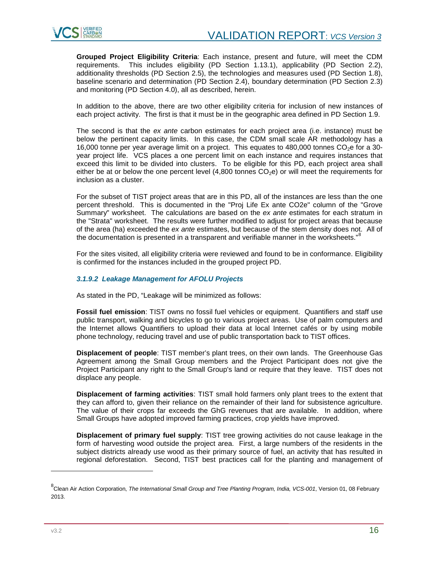**Grouped Project Eligibility Criteria**: Each instance, present and future, will meet the CDM requirements. This includes eligibility (PD Section 1.13.1), applicability (PD Section 2.2), additionality thresholds (PD Section 2.5), the technologies and measures used (PD Section 1.8), baseline scenario and determination (PD Section 2.4), boundary determination (PD Section 2.3) and monitoring (PD Section 4.0), all as described, herein.

In addition to the above, there are two other eligibility criteria for inclusion of new instances of each project activity. The first is that it must be in the geographic area defined in PD Section 1.9.

The second is that the *ex ante* carbon estimates for each project area (i.e. instance) must be below the pertinent capacity limits. In this case, the CDM small scale AR methodology has a 16,000 tonne per year average limit on a project. This equates to 480,000 tonnes  $CO<sub>2</sub>e$  for a 30year project life. VCS places a one percent limit on each instance and requires instances that exceed this limit to be divided into clusters. To be eligible for this PD, each project area shall either be at or below the one percent level  $(4,800$  tonnes  $CO<sub>2</sub>e)$  or will meet the requirements for inclusion as a cluster.

For the subset of TIST project areas that are in this PD, all of the instances are less than the one percent threshold. This is documented in the "Proj Life Ex ante CO2e" column of the "Grove Summary" worksheet. The calculations are based on the *ex ante* estimates for each stratum in the "Strata" worksheet. The results were further modified to adjust for project areas that because of the area (ha) exceeded the *ex ante* estimates, but because of the stem density does not. All of the documentation is presented in a transparent and verifiable manner in the worksheets."<sup>[8](#page-15-0)</sup>

For the sites visited, all eligibility criteria were reviewed and found to be in conformance. Eligibility is confirmed for the instances included in the grouped project PD.

# *3.1.9.2 Leakage Management for AFOLU Projects*

As stated in the PD, "Leakage will be minimized as follows:

**Fossil fuel emission**: TIST owns no fossil fuel vehicles or equipment. Quantifiers and staff use public transport, walking and bicycles to go to various project areas. Use of palm computers and the Internet allows Quantifiers to upload their data at local Internet cafés or by using mobile phone technology, reducing travel and use of public transportation back to TIST offices.

**Displacement of people**: TIST member's plant trees, on their own lands. The Greenhouse Gas Agreement among the Small Group members and the Project Participant does not give the Project Participant any right to the Small Group's land or require that they leave. TIST does not displace any people.

**Displacement of farming activities**: TIST small hold farmers only plant trees to the extent that they can afford to, given their reliance on the remainder of their land for subsistence agriculture. The value of their crops far exceeds the GhG revenues that are available. In addition, where Small Groups have adopted improved farming practices, crop yields have improved.

**Displacement of primary fuel supply**: TIST tree growing activities do not cause leakage in the form of harvesting wood outside the project area. First, a large numbers of the residents in the subject districts already use wood as their primary source of fuel, an activity that has resulted in regional deforestation. Second, TIST best practices call for the planting and management of

<span id="page-15-0"></span><sup>8</sup> Clean Air Action Corporation, *The International Small Group and Tree Planting Program, India, VCS-001*, Version 01, 08 February 2013.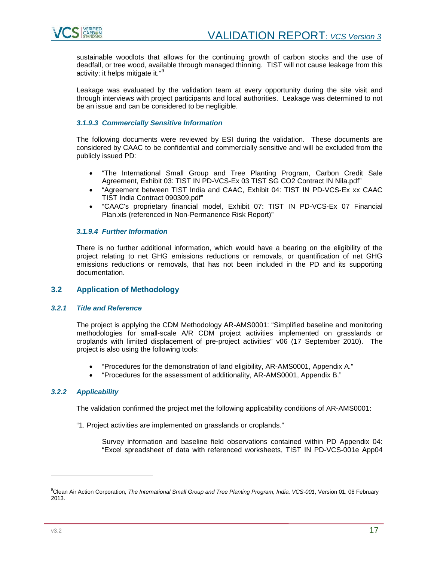

sustainable woodlots that allows for the continuing growth of carbon stocks and the use of deadfall, or tree wood, available through managed thinning. TIST will not cause leakage from this activity; it helps mitigate it."<sup>[9](#page-16-3)</sup>

Leakage was evaluated by the validation team at every opportunity during the site visit and through interviews with project participants and local authorities. Leakage was determined to not be an issue and can be considered to be negligible.

# *3.1.9.3 Commercially Sensitive Information*

The following documents were reviewed by ESI during the validation. These documents are considered by CAAC to be confidential and commercially sensitive and will be excluded from the publicly issued PD:

- "The International Small Group and Tree Planting Program, Carbon Credit Sale Agreement, Exhibit 03: TIST IN PD-VCS-Ex 03 TIST SG CO2 Contract IN Nila.pdf"
- "Agreement between TIST India and CAAC, Exhibit 04: TIST IN PD-VCS-Ex xx CAAC TIST India Contract 090309.pdf"
- "CAAC's proprietary financial model, Exhibit 07: TIST IN PD-VCS-Ex 07 Financial Plan.xls (referenced in Non-Permanence Risk Report)"

# *3.1.9.4 Further Information*

There is no further additional information, which would have a bearing on the eligibility of the project relating to net GHG emissions reductions or removals, or quantification of net GHG emissions reductions or removals, that has not been included in the PD and its supporting documentation.

# <span id="page-16-0"></span>**3.2 Application of Methodology**

# <span id="page-16-1"></span>*3.2.1 Title and Reference*

The project is applying the CDM Methodology AR-AMS0001: "Simplified baseline and monitoring methodologies for small-scale A/R CDM project activities implemented on grasslands or croplands with limited displacement of pre-project activities" v06 (17 September 2010). The project is also using the following tools:

- "Procedures for the demonstration of land eligibility, AR-AMS0001, Appendix A."
- "Procedures for the assessment of additionality, AR-AMS0001, Appendix B."

# <span id="page-16-2"></span>*3.2.2 Applicability*

The validation confirmed the project met the following applicability conditions of AR-AMS0001:

"1. Project activities are implemented on grasslands or croplands."

Survey information and baseline field observations contained within PD Appendix 04: "Excel spreadsheet of data with referenced worksheets, TIST IN PD-VCS-001e App04

<span id="page-16-3"></span><sup>9</sup> Clean Air Action Corporation, *The International Small Group and Tree Planting Program, India, VCS-001*, Version 01, 08 February 2013.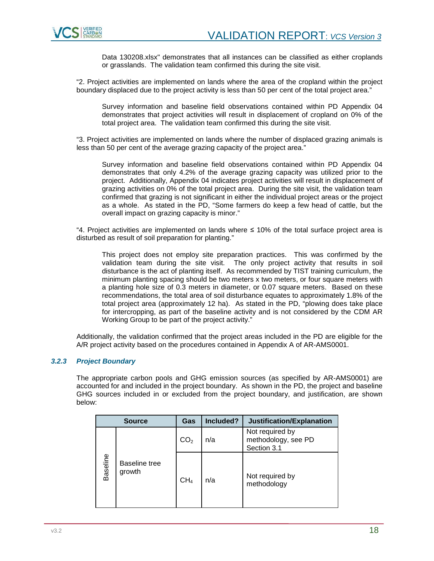

Data 130208.xlsx" demonstrates that all instances can be classified as either croplands or grasslands. The validation team confirmed this during the site visit.

"2. Project activities are implemented on lands where the area of the cropland within the project boundary displaced due to the project activity is less than 50 per cent of the total project area."

Survey information and baseline field observations contained within PD Appendix 04 demonstrates that project activities will result in displacement of cropland on 0% of the total project area. The validation team confirmed this during the site visit.

"3. Project activities are implemented on lands where the number of displaced grazing animals is less than 50 per cent of the average grazing capacity of the project area."

Survey information and baseline field observations contained within PD Appendix 04 demonstrates that only 4.2% of the average grazing capacity was utilized prior to the project. Additionally, Appendix 04 indicates project activities will result in displacement of grazing activities on 0% of the total project area. During the site visit, the validation team confirmed that grazing is not significant in either the individual project areas or the project as a whole. As stated in the PD, "Some farmers do keep a few head of cattle, but the overall impact on grazing capacity is minor."

"4. Project activities are implemented on lands where ≤ 10% of the total surface project area is disturbed as result of soil preparation for planting."

This project does not employ site preparation practices. This was confirmed by the validation team during the site visit. The only project activity that results in soil disturbance is the act of planting itself. As recommended by TIST training curriculum, the minimum planting spacing should be two meters x two meters, or four square meters with a planting hole size of 0.3 meters in diameter, or 0.07 square meters. Based on these recommendations, the total area of soil disturbance equates to approximately 1.8% of the total project area (approximately 12 ha). As stated in the PD, "plowing does take place for intercropping, as part of the baseline activity and is not considered by the CDM AR Working Group to be part of the project activity."

Additionally, the validation confirmed that the project areas included in the PD are eligible for the A/R project activity based on the procedures contained in Appendix A of AR-AMS0001.

# <span id="page-17-0"></span>*3.2.3 Project Boundary*

The appropriate carbon pools and GHG emission sources (as specified by AR-AMS0001) are accounted for and included in the project boundary. As shown in the PD, the project and baseline GHG sources included in or excluded from the project boundary, and justification, are shown below:

| <b>Source</b>   |                         | Gas             | Included? | Justification/Explanation                             |
|-----------------|-------------------------|-----------------|-----------|-------------------------------------------------------|
|                 |                         | CO <sub>2</sub> | n/a       | Not required by<br>methodology, see PD<br>Section 3.1 |
| <b>Baseline</b> | Baseline tree<br>growth | CH <sub>4</sub> | n/a       | Not required by<br>methodology                        |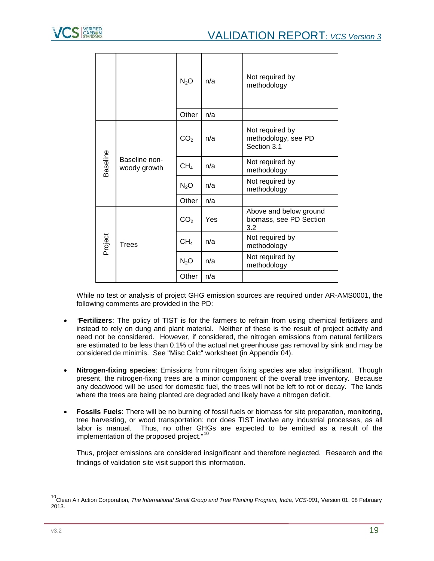|          |              |                               | $N_2O$          | n/a                            | Not required by<br>methodology                           |
|----------|--------------|-------------------------------|-----------------|--------------------------------|----------------------------------------------------------|
|          |              |                               | Other           | n/a                            |                                                          |
| Baseline |              | Baseline non-<br>woody growth | CO <sub>2</sub> | n/a                            | Not required by<br>methodology, see PD<br>Section 3.1    |
|          |              |                               | CH <sub>4</sub> | n/a                            | Not required by<br>methodology                           |
|          |              |                               | $N_2O$          | n/a                            | Not required by<br>methodology                           |
|          |              |                               | Other           | n/a                            |                                                          |
| Project  |              |                               | CO <sub>2</sub> | Yes                            | Above and below ground<br>biomass, see PD Section<br>3.2 |
|          | <b>Trees</b> | CH <sub>4</sub>               | n/a             | Not required by<br>methodology |                                                          |
|          |              |                               | $N_2O$          | n/a                            | Not required by<br>methodology                           |
|          |              |                               | Other           | n/a                            |                                                          |

While no test or analysis of project GHG emission sources are required under AR-AMS0001, the following comments are provided in the PD:

- "**Fertilizers**: The policy of TIST is for the farmers to refrain from using chemical fertilizers and instead to rely on dung and plant material. Neither of these is the result of project activity and need not be considered. However, if considered, the nitrogen emissions from natural fertilizers are estimated to be less than 0.1% of the actual net greenhouse gas removal by sink and may be considered de minimis. See "Misc Calc" worksheet (in Appendix 04).
- **Nitrogen-fixing species**: Emissions from nitrogen fixing species are also insignificant. Though present, the nitrogen-fixing trees are a minor component of the overall tree inventory. Because any deadwood will be used for domestic fuel, the trees will not be left to rot or decay. The lands where the trees are being planted are degraded and likely have a nitrogen deficit.
- **Fossils Fuels**: There will be no burning of fossil fuels or biomass for site preparation, monitoring, tree harvesting, or wood transportation; nor does TIST involve any industrial processes, as all labor is manual. Thus, no other GHGs are expected to be emitted as a result of the implementation of the proposed project."<sup>[10](#page-18-0)</sup>

Thus, project emissions are considered insignificant and therefore neglected. Research and the findings of validation site visit support this information.

<span id="page-18-0"></span><sup>&</sup>lt;sup>10</sup>Clean Air Action Corporation, *The International Small Group and Tree Planting Program, India, VCS-001*, Version 01, 08 February 2013.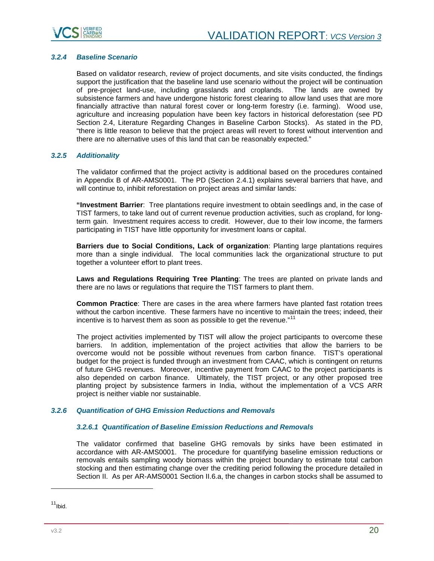

# <span id="page-19-0"></span>*3.2.4 Baseline Scenario*

Based on validator research, review of project documents, and site visits conducted, the findings support the justification that the baseline land use scenario without the project will be continuation of pre-project land-use, including grasslands and croplands. The lands are owned by subsistence farmers and have undergone historic forest clearing to allow land uses that are more financially attractive than natural forest cover or long-term forestry (i.e. farming). Wood use, agriculture and increasing population have been key factors in historical deforestation (see PD Section 2.4, Literature Regarding Changes in Baseline Carbon Stocks). As stated in the PD, "there is little reason to believe that the project areas will revert to forest without intervention and there are no alternative uses of this land that can be reasonably expected."

# <span id="page-19-1"></span>*3.2.5 Additionality*

The validator confirmed that the project activity is additional based on the procedures contained in Appendix B of AR-AMS0001. The PD (Section 2.4.1) explains several barriers that have, and will continue to, inhibit reforestation on project areas and similar lands:

**"Investment Barrier**: Tree plantations require investment to obtain seedlings and, in the case of TIST farmers, to take land out of current revenue production activities, such as cropland, for longterm gain. Investment requires access to credit. However, due to their low income, the farmers participating in TIST have little opportunity for investment loans or capital.

**Barriers due to Social Conditions, Lack of organization**: Planting large plantations requires more than a single individual. The local communities lack the organizational structure to put together a volunteer effort to plant trees.

**Laws and Regulations Requiring Tree Planting**: The trees are planted on private lands and there are no laws or regulations that require the TIST farmers to plant them.

**Common Practice**: There are cases in the area where farmers have planted fast rotation trees without the carbon incentive. These farmers have no incentive to maintain the trees; indeed, their incentive is to harvest them as soon as possible to get the revenue." $^{11}$  $^{11}$  $^{11}$ 

The project activities implemented by TIST will allow the project participants to overcome these barriers. In addition, implementation of the project activities that allow the barriers to be overcome would not be possible without revenues from carbon finance. TIST's operational budget for the project is funded through an investment from CAAC, which is contingent on returns of future GHG revenues. Moreover, incentive payment from CAAC to the project participants is also depended on carbon finance. Ultimately, the TIST project, or any other proposed tree planting project by subsistence farmers in India, without the implementation of a VCS ARR project is neither viable nor sustainable.

# <span id="page-19-2"></span>*3.2.6 Quantification of GHG Emission Reductions and Removals*

# *3.2.6.1 Quantification of Baseline Emission Reductions and Removals*

The validator confirmed that baseline GHG removals by sinks have been estimated in accordance with AR-AMS0001. The procedure for quantifying baseline emission reductions or removals entails sampling woody biomass within the project boundary to estimate total carbon stocking and then estimating change over the crediting period following the procedure detailed in Section II. As per AR-AMS0001 Section II.6.a, the changes in carbon stocks shall be assumed to

j

<span id="page-19-3"></span> $11$ Ibid.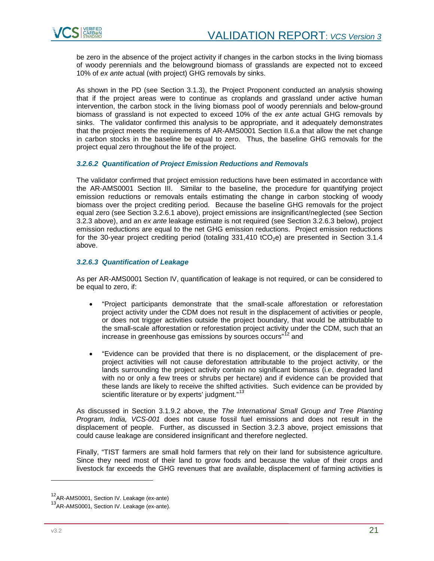

be zero in the absence of the project activity if changes in the carbon stocks in the living biomass of woody perennials and the belowground biomass of grasslands are expected not to exceed 10% of *ex ante* actual (with project) GHG removals by sinks.

As shown in the PD (see Section 3.1.3), the Project Proponent conducted an analysis showing that if the project areas were to continue as croplands and grassland under active human intervention, the carbon stock in the living biomass pool of woody perennials and below-ground biomass of grassland is not expected to exceed 10% of the *ex ante* actual GHG removals by sinks. The validator confirmed this analysis to be appropriate, and it adequately demonstrates that the project meets the requirements of AR-AMS0001 Section II.6.a that allow the net change in carbon stocks in the baseline be equal to zero. Thus, the baseline GHG removals for the project equal zero throughout the life of the project.

# *3.2.6.2 Quantification of Project Emission Reductions and Removals*

The validator confirmed that project emission reductions have been estimated in accordance with the AR-AMS0001 Section III. Similar to the baseline, the procedure for quantifying project emission reductions or removals entails estimating the change in carbon stocking of woody biomass over the project crediting period. Because the baseline GHG removals for the project equal zero (see Section 3.2.6.1 above), project emissions are insignificant/neglected (see Section 3.2.3 above), and an *ex ante* leakage estimate is not required (see Section 3.2.6.3 below), project emission reductions are equal to the net GHG emission reductions. Project emission reductions for the 30-year project crediting period (totaling  $331,410$  tCO<sub>2</sub>e) are presented in Section  $3.1.4$ above.

#### *3.2.6.3 Quantification of Leakage*

As per AR-AMS0001 Section IV, quantification of leakage is not required, or can be considered to be equal to zero, if:

- "Project participants demonstrate that the small-scale afforestation or reforestation project activity under the CDM does not result in the displacement of activities or people, or does not trigger activities outside the project boundary, that would be attributable to the small-scale afforestation or reforestation project activity under the CDM, such that an increase in greenhouse gas emissions by sources occurs"<sup>[12](#page-20-0)</sup> and
- "Evidence can be provided that there is no displacement, or the displacement of preproject activities will not cause deforestation attributable to the project activity, or the lands surrounding the project activity contain no significant biomass (i.e. degraded land with no or only a few trees or shrubs per hectare) and if evidence can be provided that these lands are likely to receive the shifted activities. Such evidence can be provided by scientific literature or by experts' judgment."<sup>[13](#page-20-1)</sup>

As discussed in Section 3.1.9.2 above, the *The International Small Group and Tree Planting Program, India, VCS-001* does not cause fossil fuel emissions and does not result in the displacement of people. Further, as discussed in Section 3.2.3 above, project emissions that could cause leakage are considered insignificant and therefore neglected.

Finally, "TIST farmers are small hold farmers that rely on their land for subsistence agriculture. Since they need most of their land to grow foods and because the value of their crops and livestock far exceeds the GHG revenues that are available, displacement of farming activities is

j

<sup>&</sup>lt;sup>12</sup>AR-AMS0001, Section IV. Leakage (ex-ante)

<span id="page-20-1"></span><span id="page-20-0"></span><sup>&</sup>lt;sup>13</sup>AR-AMS0001, Section IV. Leakage (ex-ante).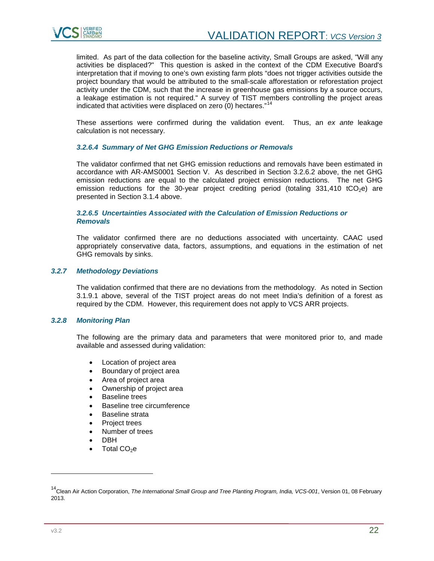

limited. As part of the data collection for the baseline activity, Small Groups are asked, "Will any activities be displaced?" This question is asked in the context of the CDM Executive Board's interpretation that if moving to one's own existing farm plots "does not trigger activities outside the project boundary that would be attributed to the small-scale afforestation or reforestation project activity under the CDM, such that the increase in greenhouse gas emissions by a source occurs, a leakage estimation is not required." A survey of TIST members controlling the project areas indicated that activities were displaced on zero (0) hectares." [14](#page-21-2)

These assertions were confirmed during the validation event. Thus, an *ex ante* leakage calculation is not necessary.

# *3.2.6.4 Summary of Net GHG Emission Reductions or Removals*

The validator confirmed that net GHG emission reductions and removals have been estimated in accordance with AR-AMS0001 Section V. As described in Section 3.2.6.2 above, the net GHG emission reductions are equal to the calculated project emission reductions. The net GHG emission reductions for the 30-year project crediting period (totaling  $331,410$  tCO<sub>2</sub>e) are presented in Section 3.1.4 above.

#### *3.2.6.5 Uncertainties Associated with the Calculation of Emission Reductions or Removals*

The validator confirmed there are no deductions associated with uncertainty. CAAC used appropriately conservative data, factors, assumptions, and equations in the estimation of net GHG removals by sinks.

# <span id="page-21-0"></span>*3.2.7 Methodology Deviations*

The validation confirmed that there are no deviations from the methodology. As noted in Section 3.1.9.1 above, several of the TIST project areas do not meet India's definition of a forest as required by the CDM. However, this requirement does not apply to VCS ARR projects.

# <span id="page-21-1"></span>*3.2.8 Monitoring Plan*

The following are the primary data and parameters that were monitored prior to, and made available and assessed during validation:

- Location of project area
- Boundary of project area
- Area of project area
- Ownership of project area
- Baseline trees
- Baseline tree circumference
- Baseline strata
- Project trees
- Number of trees
- DBH
- Total CO<sub>2</sub>e

<span id="page-21-2"></span><sup>14</sup>Clean Air Action Corporation, *The International Small Group and Tree Planting Program, India, VCS-001*, Version 01, 08 February 2013.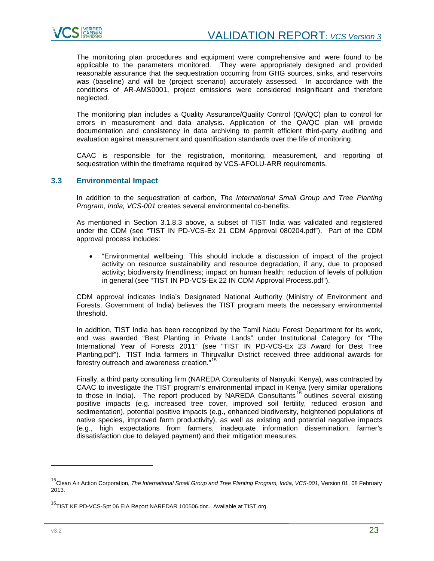

The monitoring plan procedures and equipment were comprehensive and were found to be applicable to the parameters monitored. They were appropriately designed and provided reasonable assurance that the sequestration occurring from GHG sources, sinks, and reservoirs was (baseline) and will be (project scenario) accurately assessed. In accordance with the conditions of AR-AMS0001, project emissions were considered insignificant and therefore neglected.

The monitoring plan includes a Quality Assurance/Quality Control (QA/QC) plan to control for errors in measurement and data analysis. Application of the QA/QC plan will provide documentation and consistency in data archiving to permit efficient third-party auditing and evaluation against measurement and quantification standards over the life of monitoring.

CAAC is responsible for the registration, monitoring, measurement, and reporting of sequestration within the timeframe required by VCS-AFOLU-ARR requirements.

# <span id="page-22-0"></span>**3.3 Environmental Impact**

In addition to the sequestration of carbon, *The International Small Group and Tree Planting Program, India, VCS-001* creates several environmental co-benefits.

As mentioned in Section 3.1.8.3 above, a subset of TIST India was validated and registered under the CDM (see "TIST IN PD-VCS-Ex 21 CDM Approval 080204.pdf"). Part of the CDM approval process includes:

• "Environmental wellbeing: This should include a discussion of impact of the project activity on resource sustainability and resource degradation, if any, due to proposed activity; biodiversity friendliness; impact on human health; reduction of levels of pollution in general (see "TIST IN PD-VCS-Ex 22 IN CDM Approval Process.pdf").

CDM approval indicates India's Designated National Authority (Ministry of Environment and Forests, Government of India) believes the TIST program meets the necessary environmental threshold.

In addition, TIST India has been recognized by the Tamil Nadu Forest Department for its work, and was awarded "Best Planting in Private Lands" under Institutional Category for "The International Year of Forests 2011" (see "TIST IN PD-VCS-Ex 23 Award for Best Tree Planting.pdf"). TIST India farmers in Thiruvallur District received three additional awards for forestry outreach and awareness creation."<sup>[15](#page-22-1)</sup>

Finally, a third party consulting firm (NAREDA Consultants of Nanyuki, Kenya), was contracted by CAAC to investigate the TIST program's environmental impact in Kenya (very similar operations to those in India). The report produced by NAREDA Consultants  $^{16}$  $^{16}$  $^{16}$  outlines several existing positive impacts (e.g. increased tree cover, improved soil fertility, reduced erosion and sedimentation), potential positive impacts (e.g., enhanced biodiversity, heightened populations of native species, improved farm productivity), as well as existing and potential negative impacts (e.g., high expectations from farmers, inadequate information dissemination, farmer's dissatisfaction due to delayed payment) and their mitigation measures.

j

<span id="page-22-1"></span><sup>15</sup>Clean Air Action Corporation, *The International Small Group and Tree Planting Program, India, VCS-001*, Version 01, 08 February 2013.

<span id="page-22-2"></span><sup>&</sup>lt;sup>16</sup>TIST KE PD-VCS-Spt 06 EIA Report NAREDAR 100506.doc. Available at TIST.org.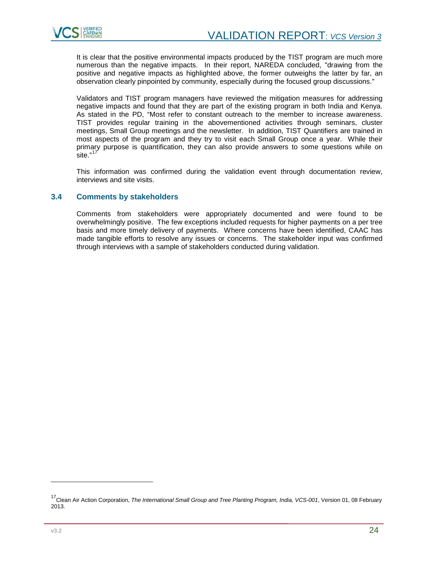

It is clear that the positive environmental impacts produced by the TIST program are much more numerous than the negative impacts. In their report, NAREDA concluded, "drawing from the positive and negative impacts as highlighted above, the former outweighs the latter by far, an observation clearly pinpointed by community, especially during the focused group discussions."

Validators and TIST program managers have reviewed the mitigation measures for addressing negative impacts and found that they are part of the existing program in both India and Kenya. As stated in the PD, "Most refer to constant outreach to the member to increase awareness. TIST provides regular training in the abovementioned activities through seminars, cluster meetings, Small Group meetings and the newsletter. In addition, TIST Quantifiers are trained in most aspects of the program and they try to visit each Small Group once a year. While their primary purpose is quantification, they can also provide answers to some questions while on  $\frac{1}{\sqrt{2}}$ site."<sup>[17](#page-23-2)</sup>

This information was confirmed during the validation event through documentation review, interviews and site visits.

# <span id="page-23-0"></span>**3.4 Comments by stakeholders**

<span id="page-23-1"></span>Comments from stakeholders were appropriately documented and were found to be overwhelmingly positive. The few exceptions included requests for higher payments on a per tree basis and more timely delivery of payments. Where concerns have been identified, CAAC has made tangible efforts to resolve any issues or concerns. The stakeholder input was confirmed through interviews with a sample of stakeholders conducted during validation.

<span id="page-23-2"></span><sup>17</sup>Clean Air Action Corporation, *The International Small Group and Tree Planting Program, India, VCS-001*, Version 01, 08 February 2013.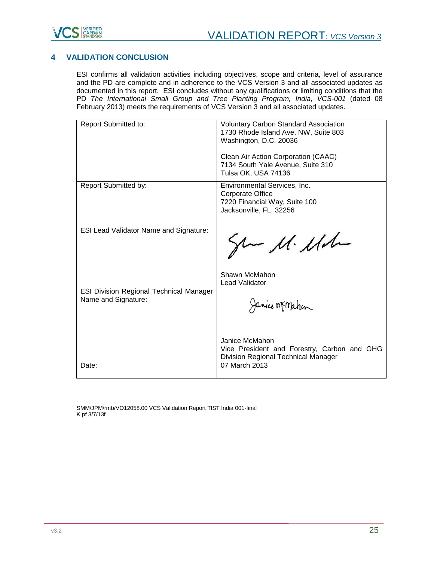

# **4 VALIDATION CONCLUSION**

ESI confirms all validation activities including objectives, scope and criteria, level of assurance and the PD are complete and in adherence to the VCS Version 3 and all associated updates as documented in this report. ESI concludes without any qualifications or limiting conditions that the PD *The International Small Group and Tree Planting Program, India, VCS-001* (dated 08 February 2013) meets the requirements of VCS Version 3 and all associated updates.

| Report Submitted to:                           | <b>Voluntary Carbon Standard Association</b> |
|------------------------------------------------|----------------------------------------------|
|                                                | 1730 Rhode Island Ave. NW, Suite 803         |
|                                                | Washington, D.C. 20036                       |
|                                                |                                              |
|                                                | Clean Air Action Corporation (CAAC)          |
|                                                | 7134 South Yale Avenue, Suite 310            |
|                                                |                                              |
|                                                | Tulsa OK, USA 74136                          |
| <b>Report Submitted by:</b>                    | Environmental Services, Inc.                 |
|                                                | Corporate Office                             |
|                                                | 7220 Financial Way, Suite 100                |
|                                                | Jacksonville, FL 32256                       |
|                                                |                                              |
|                                                |                                              |
| <b>ESI Lead Validator Name and Signature:</b>  |                                              |
|                                                | $\mu$ 11. Ma                                 |
|                                                |                                              |
|                                                |                                              |
|                                                |                                              |
|                                                |                                              |
|                                                | Shawn McMahon                                |
|                                                | <b>Lead Validator</b>                        |
| <b>ESI Division Regional Technical Manager</b> |                                              |
| Name and Signature:                            |                                              |
|                                                | Janice Memahan                               |
|                                                |                                              |
|                                                |                                              |
|                                                |                                              |
|                                                | Janice McMahon                               |
|                                                | Vice President and Forestry, Carbon and GHG  |
|                                                |                                              |
|                                                | Division Regional Technical Manager          |
| Date:                                          | 07 March 2013                                |
|                                                |                                              |

SMM/JPM/rmb/VO12058.00 VCS Validation Report TIST India 001-final K pf 3/7/13f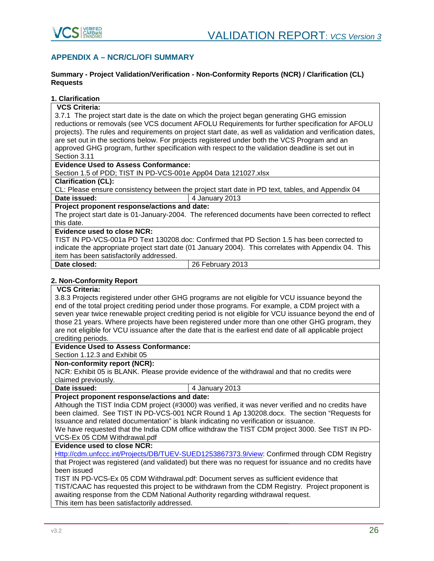

# <span id="page-25-0"></span>**APPENDIX A – NCR/CL/OFI SUMMARY**

#### **Summary - Project Validation/Verification - Non-Conformity Reports (NCR) / Clarification (CL) Requests**

# **1. Clarification**

#### **VCS Criteria:**

3.7.1 The project start date is the date on which the project began generating GHG emission reductions or removals (see VCS document AFOLU Requirements for further specification for AFOLU projects). The rules and requirements on project start date, as well as validation and verification dates, are set out in the sections below. For projects registered under both the VCS Program and an approved GHG program, further specification with respect to the validation deadline is set out in Section 3.11

# **Evidence Used to Assess Conformance:**

Section 1.5 of PDD; TIST IN PD-VCS-001e App04 Data 121027.xlsx

# **Clarification (CL):**

CL: Please ensure consistency between the project start date in PD text, tables, and Appendix 04 **Date issued:**  $\begin{array}{|c|c|c|} \hline \end{array}$  4 January 2013

# **Project proponent response/actions and date:**

The project start date is 01-January-2004. The referenced documents have been corrected to reflect this date.

# **Evidence used to close NCR:**

TIST IN PD-VCS-001a PD Text 130208.doc: Confirmed that PD Section 1.5 has been corrected to indicate the appropriate project start date (01 January 2004). This correlates with Appendix 04. This item has been satisfactorily addressed.

**Date closed:** 26 February 2013

#### **2. Non-Conformity Report**

# **VCS Criteria:**

3.8.3 Projects registered under other GHG programs are not eligible for VCU issuance beyond the end of the total project crediting period under those programs. For example, a CDM project with a seven year twice renewable project crediting period is not eligible for VCU issuance beyond the end of those 21 years. Where projects have been registered under more than one other GHG program, they are not eligible for VCU issuance after the date that is the earliest end date of all applicable project crediting periods.

# **Evidence Used to Assess Conformance:**

Section 1.12.3 and Exhibit 05

#### **Non-conformity report (NCR):**

NCR: Exhibit 05 is BLANK. Please provide evidence of the withdrawal and that no credits were claimed previously.

**Date issued:**  $\begin{array}{|c|c|c|} \hline \end{array}$  4 January 2013

# **Project proponent response/actions and date:**

Although the TIST India CDM project (#3000) was verified, it was never verified and no credits have been claimed. See TIST IN PD-VCS-001 NCR Round 1 Ap 130208.docx. The section "Requests for Issuance and related documentation" is blank indicating no verification or issuance.

We have requested that the India CDM office withdraw the TIST CDM project 3000. See TIST IN PD-VCS-Ex 05 CDM Withdrawal.pdf

# **Evidence used to close NCR:**

[Http://cdm.unfccc.int/Projects/DB/TUEV-SUED1253867373.9/view:](http://cdm.unfccc.int/Projects/DB/TUEV-SUED1253867373.9/view) Confirmed through CDM Registry that Project was registered (and validated) but there was no request for issuance and no credits have been issued

TIST IN PD-VCS-Ex 05 CDM Withdrawal.pdf: Document serves as sufficient evidence that TIST/CAAC has requested this project to be withdrawn from the CDM Registry. Project proponent is awaiting response from the CDM National Authority regarding withdrawal request. This item has been satisfactorily addressed.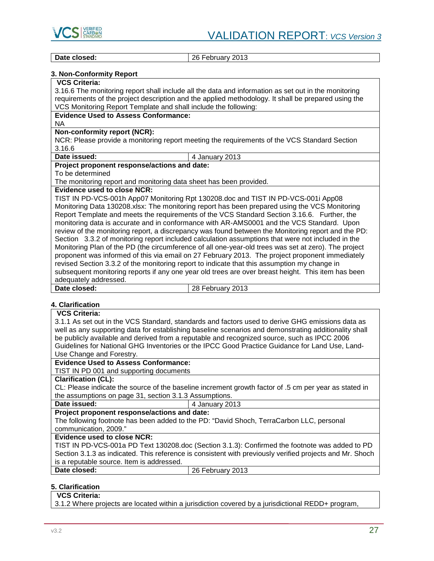

**Date closed:** 26 February 2013

# **3. Non-Conformity Report**

# **VCS Criteria:**

3.16.6 The monitoring report shall include all the data and information as set out in the monitoring requirements of the project description and the applied methodology. It shall be prepared using the VCS Monitoring Report Template and shall include the following:

#### **Evidence Used to Assess Conformance:**

NA

# **Non-conformity report (NCR):**

NCR: Please provide a monitoring report meeting the requirements of the VCS Standard Section 3.16.6<br>Date issued:

# **Date issued:** 4 January 2013 **Project proponent response/actions and date:**

#### To be determined

The monitoring report and monitoring data sheet has been provided.

# **Evidence used to close NCR:**

TIST IN PD-VCS-001h App07 Monitoring Rpt 130208.doc and TIST IN PD-VCS-001i App08 Monitoring Data 130208.xlsx: The monitoring report has been prepared using the VCS Monitoring Report Template and meets the requirements of the VCS Standard Section 3.16.6. Further, the monitoring data is accurate and in conformance with AR-AMS0001 and the VCS Standard. Upon review of the monitoring report, a discrepancy was found between the Monitoring report and the PD: Section 3.3.2 of monitoring report included calculation assumptions that were not included in the Monitoring Plan of the PD (the circumference of all one-year-old trees was set at zero). The project proponent was informed of this via email on 27 February 2013. The project proponent immediately revised Section 3.3.2 of the monitoring report to indicate that this assumption my change in subsequent monitoring reports if any one year old trees are over breast height. This item has been adequately addressed.<br>Date closed: **Date closed:** 28 February 2013

# **4. Clarification**

| <b>VCS Criteria:</b>                                                                                     |
|----------------------------------------------------------------------------------------------------------|
| 3.1.1 As set out in the VCS Standard, standards and factors used to derive GHG emissions data as         |
| well as any supporting data for establishing baseline scenarios and demonstrating additionality shall    |
| be publicly available and derived from a reputable and recognized source, such as IPCC 2006              |
| Guidelines for National GHG Inventories or the IPCC Good Practice Guidance for Land Use, Land-           |
| Use Change and Forestry.                                                                                 |
| <b>Evidence Used to Assess Conformance:</b>                                                              |
| TIST IN PD 001 and supporting documents                                                                  |
| <b>Clarification (CL):</b>                                                                               |
| CL: Please indicate the source of the baseline increment growth factor of .5 cm per year as stated in    |
| the assumptions on page 31, section 3.1.3 Assumptions.                                                   |
| Date issued:<br>4 January 2013                                                                           |
| Project proponent response/actions and date:                                                             |
| The following footnote has been added to the PD: "David Shoch, TerraCarbon LLC, personal                 |
| communication, 2009."                                                                                    |
| Evidence used to close NCR:                                                                              |
| TIST IN PD-VCS-001a PD Text 130208.doc (Section 3.1.3): Confirmed the footnote was added to PD           |
| Section 3.1.3 as indicated. This reference is consistent with previously verified projects and Mr. Shoch |
| is a reputable source. Item is addressed.                                                                |
| Date closed:<br>26 February 2013                                                                         |
|                                                                                                          |

# **5. Clarification**

# **VCS Criteria:**

3.1.2 Where projects are located within a jurisdiction covered by a jurisdictional REDD+ program,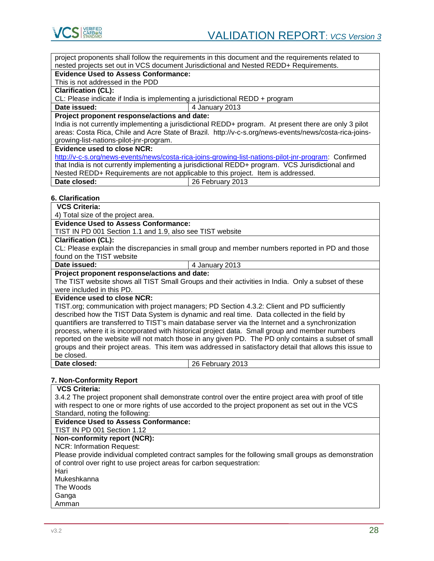

project proponents shall follow the requirements in this document and the requirements related to nested projects set out in VCS document Jurisdictional and Nested REDD+ Requirements.

#### **Evidence Used to Assess Conformance:**

This is not addressed in the PDD

**Clarification (CL):**

CL: Please indicate if India is implementing a jurisdictional REDD + program

#### **Date issued:**  $\vert$  4 January 2013

**Project proponent response/actions and date:**

India is not currently implementing a jurisdictional REDD+ program. At present there are only 3 pilot areas: Costa Rica, Chile and Acre State of Brazil. http://v-c-s.org/news-events/news/costa-rica-joinsgrowing-list-nations-pilot-jnr-program.

**Evidence used to close NCR:**

[http://v-c-s.org/news-events/news/costa-rica-joins-growing-list-nations-pilot-jnr-program:](http://v-c-s.org/news-events/news/costa-rica-joins-growing-list-nations-pilot-jnr-program) Confirmed that India is not currently implementing a jurisdictional REDD+ program. VCS Jurisdictional and Nested REDD+ Requirements are not applicable to this project. Item is addressed. **Date closed:** 26 February 2013

# **6. Clarification**

**VCS Criteria:** 

4) Total size of the project area.

**Evidence Used to Assess Conformance:**

TIST IN PD 001 Section 1.1 and 1.9, also see TIST website

# **Clarification (CL):**

CL: Please explain the discrepancies in small group and member numbers reported in PD and those found on the TIST website<br>Date issued:

**Date issued:** 4 January 2013

# **Project proponent response/actions and date:**

The TIST website shows all TIST Small Groups and their activities in India. Only a subset of these were included in this PD.

# **Evidence used to close NCR:**

TIST.org; communication with project managers; PD Section 4.3.2: Client and PD sufficiently described how the TIST Data System is dynamic and real time. Data collected in the field by quantifiers are transferred to TIST's main database server via the Internet and a synchronization process, where it is incorporated with historical project data. Small group and member numbers reported on the website will not match those in any given PD. The PD only contains a subset of small groups and their project areas. This item was addressed in satisfactory detail that allows this issue to be closed.<br>Date closed:

**Date closed:** 26 February 2013

# **7. Non-Conformity Report**

**VCS Criteria:**  3.4.2 The project proponent shall demonstrate control over the entire project area with proof of title with respect to one or more rights of use accorded to the project proponent as set out in the VCS Standard, noting the following: **Evidence Used to Assess Conformance:** TIST IN PD 001 Section 1.12 **Non-conformity report (NCR):** NCR: Information Request: Please provide individual completed contract samples for the following small groups as demonstration of control over right to use project areas for carbon sequestration: Hari Mukeshkanna The Woods **Ganga** Amman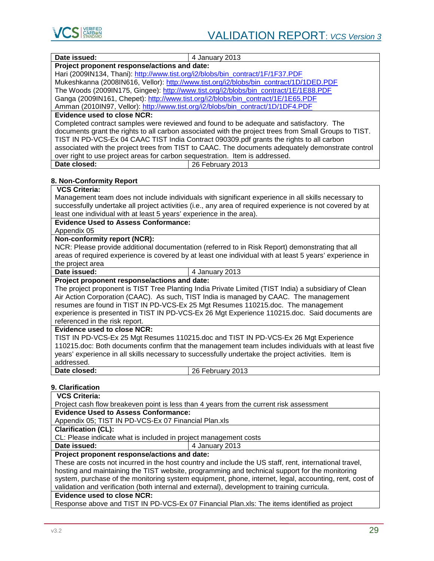

| Date issued:<br>4 January 2013                                                                                                                         |
|--------------------------------------------------------------------------------------------------------------------------------------------------------|
| Project proponent response/actions and date:                                                                                                           |
| Hari (2009IN134, Thani): http://www.tist.org/i2/blobs/bin_contract/1F/1F37.PDF                                                                         |
| Mukeshkanna (2008IN616, Vellor): http://www.tist.org/i2/blobs/bin_contract/1D/1DED.PDF                                                                 |
| The Woods (2009IN175, Gingee): http://www.tist.org/i2/blobs/bin_contract/1E/1E88.PDF                                                                   |
| Ganga (2009IN161, Chepet): http://www.tist.org/i2/blobs/bin_contract/1E/1E65.PDF                                                                       |
| Amman (2010IN97, Vellor): http://www.tist.org/i2/blobs/bin_contract/1D/1DF4.PDF                                                                        |
| <b>Evidence used to close NCR:</b>                                                                                                                     |
| Completed contract samples were reviewed and found to be adequate and satisfactory. The                                                                |
| documents grant the rights to all carbon associated with the project trees from Small Groups to TIST.                                                  |
| TIST IN PD-VCS-Ex 04 CAAC TIST India Contract 090309.pdf grants the rights to all carbon                                                               |
| associated with the project trees from TIST to CAAC. The documents adequately demonstrate control                                                      |
| over right to use project areas for carbon sequestration. Item is addressed.<br>Date closed:<br>26 February 2013                                       |
|                                                                                                                                                        |
| 8. Non-Conformity Report                                                                                                                               |
| <b>VCS Criteria:</b>                                                                                                                                   |
| Management team does not include individuals with significant experience in all skills necessary to                                                    |
| successfully undertake all project activities (i.e., any area of required experience is not covered by at                                              |
| least one individual with at least 5 years' experience in the area).                                                                                   |
| <b>Evidence Used to Assess Conformance:</b>                                                                                                            |
| Appendix 05                                                                                                                                            |
| Non-conformity report (NCR):                                                                                                                           |
| NCR: Please provide additional documentation (referred to in Risk Report) demonstrating that all                                                       |
| areas of required experience is covered by at least one individual with at least 5 years' experience in                                                |
| the project area                                                                                                                                       |
| Date issued:<br>4 January 2013                                                                                                                         |
| Project proponent response/actions and date:                                                                                                           |
| The project proponent is TIST Tree Planting India Private Limited (TIST India) a subsidiary of Clean                                                   |
| Air Action Corporation (CAAC). As such, TIST India is managed by CAAC. The management                                                                  |
| resumes are found in TIST IN PD-VCS-Ex 25 Mgt Resumes 110215.doc. The management                                                                       |
| experience is presented in TIST IN PD-VCS-Ex 26 Mgt Experience 110215.doc. Said documents are                                                          |
| referenced in the risk report.                                                                                                                         |
| <b>Evidence used to close NCR:</b>                                                                                                                     |
| TIST IN PD-VCS-Ex 25 Mgt Resumes 110215.doc and TIST IN PD-VCS-Ex 26 Mgt Experience                                                                    |
| 110215.doc: Both documents confirm that the management team includes individuals with at least five                                                    |
| years' experience in all skills necessary to successfully undertake the project activities. Item is                                                    |
| addressed.                                                                                                                                             |
| Date closed:<br>26 February 2013                                                                                                                       |
|                                                                                                                                                        |
| 9. Clarification                                                                                                                                       |
| <b>VCS Criteria:</b>                                                                                                                                   |
| Project cash flow breakeven point is less than 4 years from the current risk assessment<br><b>Evidence Used to Assess Conformance:</b>                 |
| Appendix 05; TIST IN PD-VCS-Ex 07 Financial Plan.xls                                                                                                   |
| <b>Clarification (CL):</b>                                                                                                                             |
| CL: Please indicate what is included in project management costs                                                                                       |
| Date issued:                                                                                                                                           |
| 4 January 2013                                                                                                                                         |
| Project proponent response/actions and date:<br>These are costs not incurred in the host country and include the US staff, rent, international travel, |
| hosting and maintaining the TIST website, programming and technical support for the monitoring                                                         |
| system, purchase of the monitoring system equipment, phone, internet, legal, accounting, rent, cost of                                                 |

validation and verification (both internal and external), development to training curricula.

# **Evidence used to close NCR:**

Response above and TIST IN PD-VCS-Ex 07 Financial Plan.xls: The items identified as project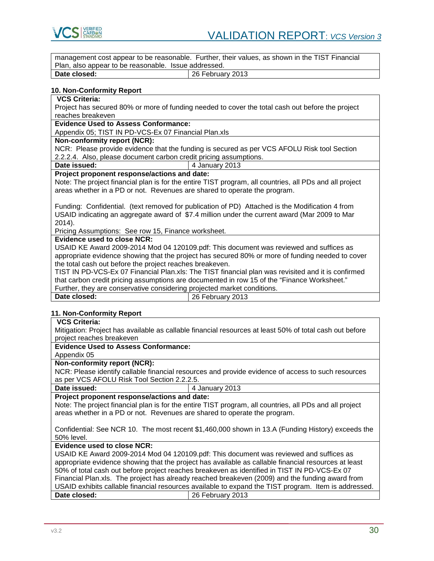

| management cost appear to be reasonable. Further, their values, as shown in the TIST Financial<br>Plan, also appear to be reasonable. Issue addressed. |  |  |
|--------------------------------------------------------------------------------------------------------------------------------------------------------|--|--|
| Date closed:<br>26 February 2013                                                                                                                       |  |  |
|                                                                                                                                                        |  |  |
| <b>10. Non-Conformity Report</b>                                                                                                                       |  |  |
| <b>VCS Criteria:</b>                                                                                                                                   |  |  |
| Project has secured 80% or more of funding needed to cover the total cash out before the project                                                       |  |  |
| reaches breakeven                                                                                                                                      |  |  |
| <b>Evidence Used to Assess Conformance:</b>                                                                                                            |  |  |
| Appendix 05; TIST IN PD-VCS-Ex 07 Financial Plan.xls                                                                                                   |  |  |
|                                                                                                                                                        |  |  |
| Non-conformity report (NCR):                                                                                                                           |  |  |
| NCR: Please provide evidence that the funding is secured as per VCS AFOLU Risk tool Section                                                            |  |  |
| 2.2.2.4. Also, please document carbon credit pricing assumptions.                                                                                      |  |  |
| Date issued:<br>4 January 2013                                                                                                                         |  |  |
| Project proponent response/actions and date:                                                                                                           |  |  |
| Note: The project financial plan is for the entire TIST program, all countries, all PDs and all project                                                |  |  |
| areas whether in a PD or not. Revenues are shared to operate the program.                                                                              |  |  |
|                                                                                                                                                        |  |  |
| Funding: Confidential. (text removed for publication of PD) Attached is the Modification 4 from                                                        |  |  |
| USAID indicating an aggregate award of \$7.4 million under the current award (Mar 2009 to Mar                                                          |  |  |
| 2014).                                                                                                                                                 |  |  |
| Pricing Assumptions: See row 15, Finance worksheet.                                                                                                    |  |  |
| <b>Evidence used to close NCR:</b>                                                                                                                     |  |  |
| USAID KE Award 2009-2014 Mod 04 120109.pdf: This document was reviewed and suffices as                                                                 |  |  |
| appropriate evidence showing that the project has secured 80% or more of funding needed to cover                                                       |  |  |
| the total cash out before the project reaches breakeven.                                                                                               |  |  |
| TIST IN PD-VCS-Ex 07 Financial Plan.xls: The TIST financial plan was revisited and it is confirmed                                                     |  |  |
|                                                                                                                                                        |  |  |
| that carbon credit pricing assumptions are documented in row 15 of the "Finance Worksheet."                                                            |  |  |
| Further, they are conservative considering projected market conditions.<br>Date closed:                                                                |  |  |
| 26 February 2013                                                                                                                                       |  |  |
| 11. Non-Conformity Report                                                                                                                              |  |  |
| <b>VCS Criteria:</b>                                                                                                                                   |  |  |
| Mitigation: Project has available as callable financial resources at least 50% of total cash out before                                                |  |  |
| project reaches breakeven                                                                                                                              |  |  |
| <b>Evidence Used to Assess Conformance:</b>                                                                                                            |  |  |
|                                                                                                                                                        |  |  |
| Appendix 05                                                                                                                                            |  |  |
| Non-conformity report (NCR):                                                                                                                           |  |  |
| NCR: Please identify callable financial resources and provide evidence of access to such resources                                                     |  |  |
| as per VCS AFOLU Risk Tool Section 2.2.2.5.                                                                                                            |  |  |
| Date issued:<br>4 January 2013                                                                                                                         |  |  |
|                                                                                                                                                        |  |  |
| Project proponent response/actions and date:                                                                                                           |  |  |
| Note: The project financial plan is for the entire TIST program, all countries, all PDs and all project                                                |  |  |
| areas whether in a PD or not. Revenues are shared to operate the program.                                                                              |  |  |
|                                                                                                                                                        |  |  |
| Confidential: See NCR 10. The most recent \$1,460,000 shown in 13.A (Funding History) exceeds the                                                      |  |  |
| 50% level.                                                                                                                                             |  |  |
| <b>Evidence used to close NCR:</b>                                                                                                                     |  |  |
| USAID KE Award 2009-2014 Mod 04 120109.pdf: This document was reviewed and suffices as                                                                 |  |  |
|                                                                                                                                                        |  |  |
| appropriate evidence showing that the project has available as callable financial resources at least                                                   |  |  |
| 50% of total cash out before project reaches breakeven as identified in TIST IN PD-VCS-Ex 07                                                           |  |  |
| Financial Plan.xls. The project has already reached breakeven (2009) and the funding award from                                                        |  |  |
| USAID exhibits callable financial resources available to expand the TIST program. Item is addressed.<br>Date closed:<br>26 February 2013               |  |  |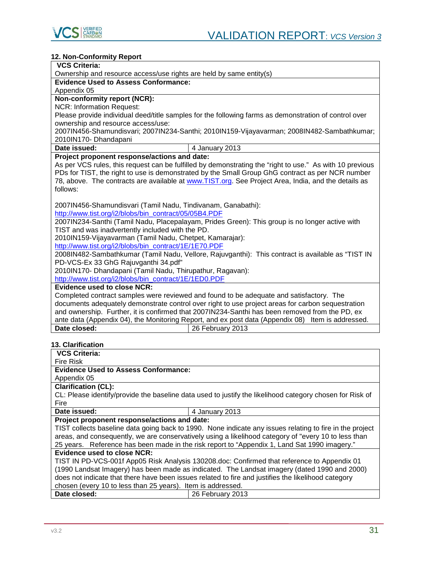

| 12. Non-Conformity Report                                                                                |  |  |
|----------------------------------------------------------------------------------------------------------|--|--|
| <b>VCS Criteria:</b>                                                                                     |  |  |
| Ownership and resource access/use rights are held by same entity(s)                                      |  |  |
| <b>Evidence Used to Assess Conformance:</b>                                                              |  |  |
| Appendix 05                                                                                              |  |  |
| Non-conformity report (NCR):                                                                             |  |  |
| <b>NCR: Information Request:</b>                                                                         |  |  |
| Please provide individual deed/title samples for the following farms as demonstration of control over    |  |  |
| ownership and resource access/use:                                                                       |  |  |
| 2007IN456-Shamundisvari; 2007IN234-Santhi; 2010IN159-Vijayavarman; 2008IN482-Sambathkumar;               |  |  |
| 2010IN170- Dhandapani                                                                                    |  |  |
| Date issued:<br>4 January 2013                                                                           |  |  |
| Project proponent response/actions and date:                                                             |  |  |
| As per VCS rules, this request can be fulfilled by demonstrating the "right to use." As with 10 previous |  |  |
| PDs for TIST, the right to use is demonstrated by the Small Group GhG contract as per NCR number         |  |  |
| 78, above. The contracts are available at www.TIST.org. See Project Area, India, and the details as      |  |  |
| follows:                                                                                                 |  |  |
|                                                                                                          |  |  |
| 2007IN456-Shamundisvari (Tamil Nadu, Tindivanam, Ganabathi):                                             |  |  |
| http://www.tist.org/i2/blobs/bin_contract/05/05B4.PDF                                                    |  |  |
| 2007IN234-Santhi (Tamil Nadu, Placepalayam, Prides Green): This group is no longer active with           |  |  |
| TIST and was inadvertently included with the PD.                                                         |  |  |
| 2010IN159-Vijayavarman (Tamil Nadu, Chetpet, Kamarajar):                                                 |  |  |
| http://www.tist.org/i2/blobs/bin_contract/1E/1E70.PDF                                                    |  |  |
| 2008IN482-Sambathkumar (Tamil Nadu, Vellore, Rajuvganthi): This contract is available as "TIST IN        |  |  |
| PD-VCS-Ex 33 GhG Rajuvganthi 34.pdf"                                                                     |  |  |
| 2010IN170- Dhandapani (Tamil Nadu, Thirupathur, Ragavan):                                                |  |  |
| http://www.tist.org/i2/blobs/bin_contract/1E/1ED0.PDF                                                    |  |  |
| <b>Evidence used to close NCR:</b>                                                                       |  |  |
| Completed contract samples were reviewed and found to be adequate and satisfactory. The                  |  |  |
| documents adequately demonstrate control over right to use project areas for carbon sequestration        |  |  |
| and ownership. Further, it is confirmed that 2007IN234-Santhi has been removed from the PD, ex           |  |  |
| ante data (Appendix 04), the Monitoring Report, and ex post data (Appendix 08) Item is addressed.        |  |  |
| Date closed:<br>26 February 2013                                                                         |  |  |
|                                                                                                          |  |  |
| <b>13. Clarification</b><br>VCC Critorio:                                                                |  |  |

| <b>VCS Criteria:</b>                                                                                |                                                                                                          |  |
|-----------------------------------------------------------------------------------------------------|----------------------------------------------------------------------------------------------------------|--|
| Fire Risk                                                                                           |                                                                                                          |  |
| <b>Evidence Used to Assess Conformance:</b>                                                         |                                                                                                          |  |
| Appendix 05                                                                                         |                                                                                                          |  |
| <b>Clarification (CL):</b>                                                                          |                                                                                                          |  |
|                                                                                                     | CL: Please identify/provide the baseline data used to justify the likelihood category chosen for Risk of |  |
| Fire                                                                                                |                                                                                                          |  |
| Date issued:                                                                                        | 4 January 2013                                                                                           |  |
| Project proponent response/actions and date:                                                        |                                                                                                          |  |
|                                                                                                     | TIST collects baseline data going back to 1990. None indicate any issues relating to fire in the project |  |
|                                                                                                     | areas, and consequently, we are conservatively using a likelihood category of "every 10 to less than     |  |
| 25 years. Reference has been made in the risk report to "Appendix 1, Land Sat 1990 imagery."        |                                                                                                          |  |
| Evidence used to close NCR:                                                                         |                                                                                                          |  |
| TIST IN PD-VCS-001f App05 Risk Analysis 130208.doc: Confirmed that reference to Appendix 01         |                                                                                                          |  |
| (1990 Landsat Imagery) has been made as indicated. The Landsat imagery (dated 1990 and 2000)        |                                                                                                          |  |
| does not indicate that there have been issues related to fire and justifies the likelihood category |                                                                                                          |  |
| chosen (every 10 to less than 25 years). Item is addressed.                                         |                                                                                                          |  |
| Date closed:                                                                                        | 26 February 2013                                                                                         |  |
|                                                                                                     |                                                                                                          |  |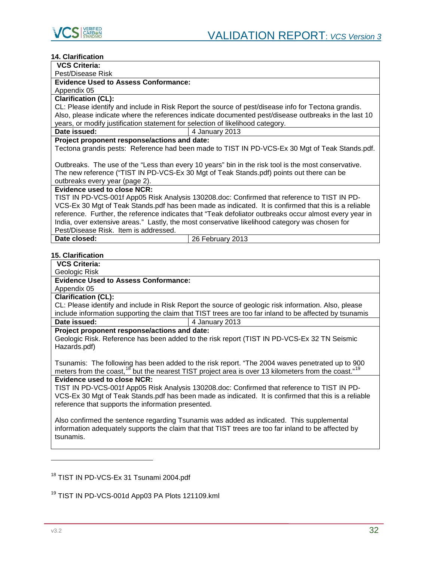

# **14. Clarification**

| 14. VIAHIIVAUVII                                                                                       |  |  |
|--------------------------------------------------------------------------------------------------------|--|--|
| <b>VCS Criteria:</b>                                                                                   |  |  |
| Pest/Disease Risk                                                                                      |  |  |
| <b>Evidence Used to Assess Conformance:</b>                                                            |  |  |
| Appendix 05                                                                                            |  |  |
| <b>Clarification (CL):</b>                                                                             |  |  |
| CL: Please identify and include in Risk Report the source of pest/disease info for Tectona grandis.    |  |  |
| Also, please indicate where the references indicate documented pest/disease outbreaks in the last 10   |  |  |
| years, or modify justification statement for selection of likelihood category.                         |  |  |
| Date issued:<br>4 January 2013                                                                         |  |  |
| Project proponent response/actions and date:                                                           |  |  |
| Tectona grandis pests: Reference had been made to TIST IN PD-VCS-Ex 30 Mgt of Teak Stands.pdf.         |  |  |
|                                                                                                        |  |  |
| Outbreaks. The use of the "Less than every 10 years" bin in the risk tool is the most conservative.    |  |  |
| The new reference ("TIST IN PD-VCS-Ex 30 Mgt of Teak Stands.pdf) points out there can be               |  |  |
| outbreaks every year (page 2).                                                                         |  |  |
| <b>Evidence used to close NCR:</b>                                                                     |  |  |
| TIST IN PD-VCS-001f App05 Risk Analysis 130208.doc: Confirmed that reference to TIST IN PD-            |  |  |
| VCS-Ex 30 Mgt of Teak Stands.pdf has been made as indicated. It is confirmed that this is a reliable   |  |  |
| reference. Further, the reference indicates that "Teak defoliator outbreaks occur almost every year in |  |  |
| India, over extensive areas." Lastly, the most conservative likelihood category was chosen for         |  |  |
| Pest/Disease Risk. Item is addressed.                                                                  |  |  |
| Date closed:<br>26 February 2013                                                                       |  |  |
|                                                                                                        |  |  |
| 15. Clarification                                                                                      |  |  |
| <b>VCS Criteria:</b>                                                                                   |  |  |
| Geologic Risk                                                                                          |  |  |

**Evidence Used to Assess Conformance:**

Appendix 05

**Clarification (CL):**

CL: Please identify and include in Risk Report the source of geologic risk information. Also, please include information supporting the claim that TIST trees are too far inland to be affected by tsunamis

| Date issued: | $\vert$ 4 January 2013 |
|--------------|------------------------|
|              |                        |

**Project proponent response/actions and date:**

Geologic Risk. Reference has been added to the risk report (TIST IN PD-VCS-Ex 32 TN Seismic Hazards.pdf)

Tsunamis: The following has been added to the risk report. "The 2004 waves penetrated up to 900 meters from the coast,<sup>[18](#page-31-0)</sup> but the nearest TIST project area is over 13 kilometers from the coast."<sup>[19](#page-31-1)</sup>

# **Evidence used to close NCR:**

TIST IN PD-VCS-001f App05 Risk Analysis 130208.doc: Confirmed that reference to TIST IN PD-VCS-Ex 30 Mgt of Teak Stands.pdf has been made as indicated. It is confirmed that this is a reliable reference that supports the information presented.

Also confirmed the sentence regarding Tsunamis was added as indicated. This supplemental information adequately supports the claim that that TIST trees are too far inland to be affected by tsunamis.

<span id="page-31-0"></span><sup>18</sup> TIST IN PD-VCS-Ex 31 Tsunami 2004.pdf

j

<span id="page-31-1"></span><sup>&</sup>lt;sup>19</sup> TIST IN PD-VCS-001d App03 PA Plots 121109.kml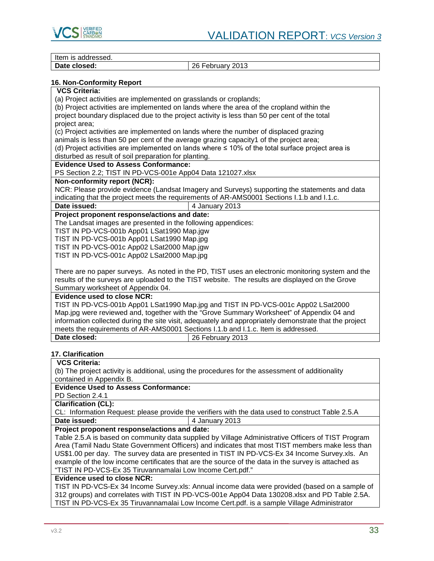

Item is addressed.<br>Date closed:

**Date closed:** 26 February 2013

# **16. Non-Conformity Report**

# **VCS Criteria:**

(a) Project activities are implemented on grasslands or croplands;

(b) Project activities are implemented on lands where the area of the cropland within the project boundary displaced due to the project activity is less than 50 per cent of the total project area;

(c) Project activities are implemented on lands where the number of displaced grazing

animals is less than 50 per cent of the average grazing capacity1 of the project area;

(d) Project activities are implemented on lands where ≤ 10% of the total surface project area is disturbed as result of soil preparation for planting.

# **Evidence Used to Assess Conformance:**

PS Section 2.2; TIST IN PD-VCS-001e App04 Data 121027.xlsx

# **Non-conformity report (NCR):**

NCR: Please provide evidence (Landsat Imagery and Surveys) supporting the statements and data indicating that the project meets the requirements of AR-AMS0001 Sections I.1.b and I.1.c.

**Date issued:**  $\begin{array}{|c|c|c|} \hline \end{array}$  4 January 2013

# **Project proponent response/actions and date:**

The Landsat images are presented in the following appendices:

TIST IN PD-VCS-001b App01 LSat1990 Map.jgw

TIST IN PD-VCS-001b App01 LSat1990 Map.jpg

TIST IN PD-VCS-001c App02 LSat2000 Map.jgw

TIST IN PD-VCS-001c App02 LSat2000 Map.jpg

There are no paper surveys. As noted in the PD, TIST uses an electronic monitoring system and the results of the surveys are uploaded to the TIST website. The results are displayed on the Grove Summary worksheet of Appendix 04.

# **Evidence used to close NCR:**

TIST IN PD-VCS-001b App01 LSat1990 Map.jpg and TIST IN PD-VCS-001c App02 LSat2000 Map.jpg were reviewed and, together with the "Grove Summary Worksheet" of Appendix 04 and information collected during the site visit, adequately and appropriately demonstrate that the project meets the requirements of AR-AMS0001 Sections I.1.b and I.1.c. Item is addressed. **Date closed:** 26 February 2013

# **17. Clarification**

# **VCS Criteria:**

(b) The project activity is additional, using the procedures for the assessment of additionality contained in Appendix B.

# **Evidence Used to Assess Conformance:**

PD Section 2.4.1

**Clarification (CL):**

CL: Information Request: please provide the verifiers with the data used to construct Table 2.5.A<br>
Date issued:  $\frac{14 \text{ January } 2013}$ **Date issued:** 4 January 2013

# **Project proponent response/actions and date:**

Table 2.5.A is based on community data supplied by Village Administrative Officers of TIST Program Area (Tamil Nadu State Government Officers) and indicates that most TIST members make less than US\$1.00 per day. The survey data are presented in TIST IN PD-VCS-Ex 34 Income Survey.xls. An example of the low income certificates that are the source of the data in the survey is attached as "TIST IN PD-VCS-Ex 35 Tiruvannamalai Low Income Cert.pdf."

# **Evidence used to close NCR:**

TIST IN PD-VCS-Ex 34 Income Survey.xls: Annual income data were provided (based on a sample of 312 groups) and correlates with TIST IN PD-VCS-001e App04 Data 130208.xlsx and PD Table 2.5A. TIST IN PD-VCS-Ex 35 Tiruvannamalai Low Income Cert.pdf. is a sample Village Administrator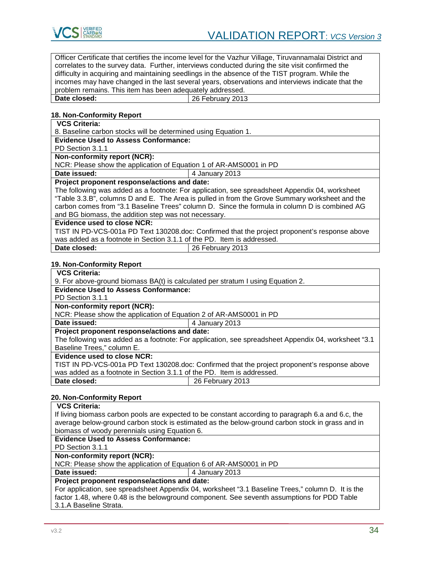

Officer Certificate that certifies the income level for the Vazhur Village, Tiruvannamalai District and correlates to the survey data. Further, interviews conducted during the site visit confirmed the difficulty in acquiring and maintaining seedlings in the absence of the TIST program. While the incomes may have changed in the last several years, observations and interviews indicate that the problem remains. This item has been adequately addressed.

| Date closed: | 26 February 2013 |
|--------------|------------------|

# **18. Non-Conformity Report**

# **VCS Criteria:**

8. Baseline carbon stocks will be determined using Equation 1.

**Evidence Used to Assess Conformance:**

PD Section 3.1.1

# **Non-conformity report (NCR):**

NCR: Please show the application of Equation 1 of AR-AMS0001 in PD

**Date issued:**  $\begin{array}{|c|c|c|}\n\hline\n\end{array}$  4 January 2013

# **Project proponent response/actions and date:**

The following was added as a footnote: For application, see spreadsheet Appendix 04, worksheet "Table 3.3.B", columns D and E. The Area is pulled in from the Grove Summary worksheet and the carbon comes from "3.1 Baseline Trees" column D. Since the formula in column D is combined AG and BG biomass, the addition step was not necessary.

# **Evidence used to close NCR:**

TIST IN PD-VCS-001a PD Text 130208.doc: Confirmed that the project proponent's response above was added as a footnote in Section 3.1.1 of the PD. Item is addressed.

| Date closed: | 26 February 2013 |
|--------------|------------------|
|--------------|------------------|

# **19. Non-Conformity Report**

# **VCS Criteria:**

9. For above-ground biomass BA(t) is calculated per stratum I using Equation 2.

# **Evidence Used to Assess Conformance:**

PD Section 3.1.1

# **Non-conformity report (NCR):**

NCR: Please show the application of Equation 2 of AR-AMS0001 in PD

# **Date issued:**  $\begin{array}{|c|c|c|} \hline \end{array}$  4 January 2013

# **Project proponent response/actions and date:**

The following was added as a footnote: For application, see spreadsheet Appendix 04, worksheet "3.1 Baseline Trees," column E.

# **Evidence used to close NCR:**

TIST IN PD-VCS-001a PD Text 130208.doc: Confirmed that the project proponent's response above was added as a footnote in Section 3.1.1 of the PD. Item is addressed. **Date closed:** 26 February 2013

# **20. Non-Conformity Report**

| <b>VCS Criteria:</b>                                                                               |  |  |  |  |
|----------------------------------------------------------------------------------------------------|--|--|--|--|
| If living biomass carbon pools are expected to be constant according to paragraph 6.a and 6.c, the |  |  |  |  |
| average below-ground carbon stock is estimated as the below-ground carbon stock in grass and in    |  |  |  |  |
| biomass of woody perennials using Equation 6.                                                      |  |  |  |  |
| <b>Evidence Used to Assess Conformance:</b>                                                        |  |  |  |  |
| PD Section 3.1.1                                                                                   |  |  |  |  |
| Non-conformity report (NCR):                                                                       |  |  |  |  |
| NCR: Please show the application of Equation 6 of AR-AMS0001 in PD                                 |  |  |  |  |
| Date issued:<br>4 January 2013                                                                     |  |  |  |  |
|                                                                                                    |  |  |  |  |
| Project proponent response/actions and date:                                                       |  |  |  |  |
| For application, see spreadsheet Appendix 04, worksheet "3.1 Baseline Trees," column D. It is the  |  |  |  |  |
| factor 1.48, where 0.48 is the belowground component. See seventh assumptions for PDD Table        |  |  |  |  |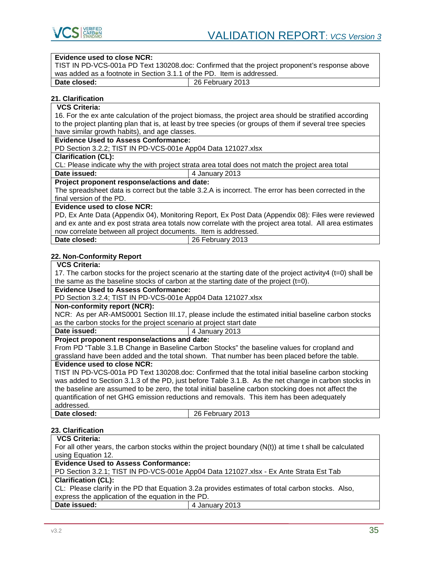

#### **Evidence used to close NCR:**

TIST IN PD-VCS-001a PD Text 130208.doc: Confirmed that the project proponent's response above was added as a footnote in Section 3.1.1 of the PD. Item is addressed.<br> **Date closed:**  $\begin{array}{|l|l|l|l|}\n\hline\n26 \text{ February } 2013\n\end{array}$ 

**Date closed:** 26 February 2013

# **21. Clarification**

**VCS Criteria:** 

16. For the ex ante calculation of the project biomass, the project area should be stratified according to the project planting plan that is, at least by tree species (or groups of them if several tree species have similar growth habits), and age classes.

**Evidence Used to Assess Conformance:**

PD Section 3.2.2; TIST IN PD-VCS-001e App04 Data 121027.xlsx

# **Clarification (CL):**

CL: Please indicate why the with project strata area total does not match the project area total **Date issued:**  $\boxed{4 \text{ January } 2013}$ 

# **Project proponent response/actions and date:**

The spreadsheet data is correct but the table 3.2.A is incorrect. The error has been corrected in the final version of the PD.

# **Evidence used to close NCR:**

PD, Ex Ante Data (Appendix 04), Monitoring Report, Ex Post Data (Appendix 08): Files were reviewed and ex ante and ex post strata area totals now correlate with the project area total. All area estimates now correlate between all project documents. Item is addressed.

| Date closed: |  | $\vert$ 26 February 2013 |  |
|--------------|--|--------------------------|--|
|              |  |                          |  |

# **22. Non-Conformity Report**

# **VCS Criteria:**

17. The carbon stocks for the project scenario at the starting date of the project activity4 (t=0) shall be the same as the baseline stocks of carbon at the starting date of the project (t=0).

#### **Evidence Used to Assess Conformance:**

PD Section 3.2.4; TIST IN PD-VCS-001e App04 Data 121027.xlsx

#### **Non-conformity report (NCR):**

NCR: As per AR-AMS0001 Section III.17, please include the estimated initial baseline carbon stocks as the carbon stocks for the project scenario at project start date

**Date issued:**  $\vert$  4 January 2013

# **Project proponent response/actions and date:**

From PD "Table 3.1.B Change in Baseline Carbon Stocks" the baseline values for cropland and grassland have been added and the total shown. That number has been placed before the table.

#### **Evidence used to close NCR:**

TIST IN PD-VCS-001a PD Text 130208.doc: Confirmed that the total initial baseline carbon stocking was added to Section 3.1.3 of the PD, just before Table 3.1.B. As the net change in carbon stocks in the baseline are assumed to be zero, the total initial baseline carbon stocking does not affect the quantification of net GHG emission reductions and removals. This item has been adequately addressed.<br>Date closed: **Date closed:** 26 February 2013

# **23. Clarification**

**VCS Criteria:** 

For all other years, the carbon stocks within the project boundary (N(t)) at time t shall be calculated using Equation 12.

# **Evidence Used to Assess Conformance:**

PD Section 3.2.1; TIST IN PD-VCS-001e App04 Data 121027.xlsx - Ex Ante Strata Est Tab **Clarification (CL):**

CL: Please clarify in the PD that Equation 3.2a provides estimates of total carbon stocks. Also, express the application of the equation in the PD.

| Date issued: | 4 January 2013 |
|--------------|----------------|
|              |                |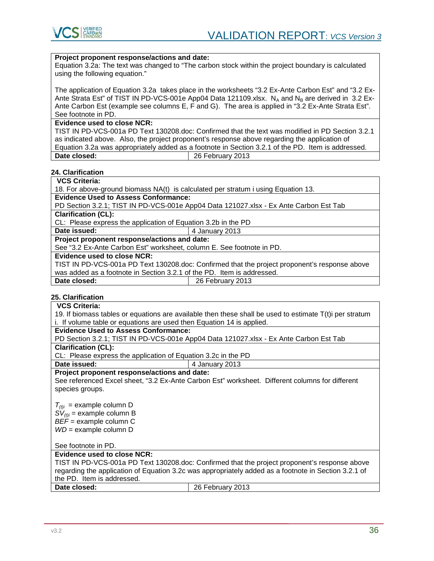

# **Project proponent response/actions and date:**

Equation 3.2a: The text was changed to "The carbon stock within the project boundary is calculated using the following equation."

The application of Equation 3.2a takes place in the worksheets "3.2 Ex-Ante Carbon Est" and "3.2 Ex-Ante Strata Est" of TIST IN PD-VCS-001e App04 Data 121109.xlsx. N<sub>A</sub> and N<sub>B</sub> are derived in 3.2 Ex-Ante Carbon Est (example see columns E, F and G). The area is applied in "3.2 Ex-Ante Strata Est". See footnote in PD.

#### **Evidence used to close NCR:**

TIST IN PD-VCS-001a PD Text 130208.doc: Confirmed that the text was modified in PD Section 3.2.1 as indicated above. Also, the project proponent's response above regarding the application of Equation 3.2a was appropriately added as a footnote in Section 3.2.1 of the PD. Item is addressed.<br>Date closed: <br>26 February 2013 **Date closed:** 26 February 2013

# **24. Clarification**

# **VCS Criteria:**

18. For above-ground biomass NA(t) is calculated per stratum i using Equation 13.

**Evidence Used to Assess Conformance:**

PD Section 3.2.1; TIST IN PD-VCS-001e App04 Data 121027.xlsx - Ex Ante Carbon Est Tab **Clarification (CL):**

CL: Please express the application of Equation 3.2b in the PD

**Date issued:**  $\vert$  4 January 2013

# **Project proponent response/actions and date:**

See "3.2 Ex-Ante Carbon Est" worksheet, column E. See footnote in PD.

#### **Evidence used to close NCR:**

TIST IN PD-VCS-001a PD Text 130208.doc: Confirmed that the project proponent's response above was added as a footnote in Section 3.2.1 of the PD. Item is addressed. **26 February 2013** 

# **25. Clarification**

# **VCS Criteria:**  19. If biomass tables or equations are available then these shall be used to estimate T(t)i per stratum i. If volume table or equations are used then Equation 14 is applied.

# **Evidence Used to Assess Conformance:**

PD Section 3.2.1; TIST IN PD-VCS-001e App04 Data 121027.xlsx - Ex Ante Carbon Est Tab

**Clarification (CL):**

CL: Please express the application of Equation 3.2c in the PD

**Date issued:**  $\begin{array}{|c|c|c|} \hline \end{array}$  4 January 2013

**Project proponent response/actions and date:**

See referenced Excel sheet, "3.2 Ex-Ante Carbon Est" worksheet. Different columns for different species groups.

 $T_{(t)i}$  = example column D  $SV_{(t)i}$  = example column B *BEF* = example column C *WD* = example column D

See footnote in PD.

# **Evidence used to close NCR:**

TIST IN PD-VCS-001a PD Text 130208.doc: Confirmed that the project proponent's response above regarding the application of Equation 3.2c was appropriately added as a footnote in Section 3.2.1 of the PD. Item is addressed.<br>Date closed:

**Date closed:** 26 February 2013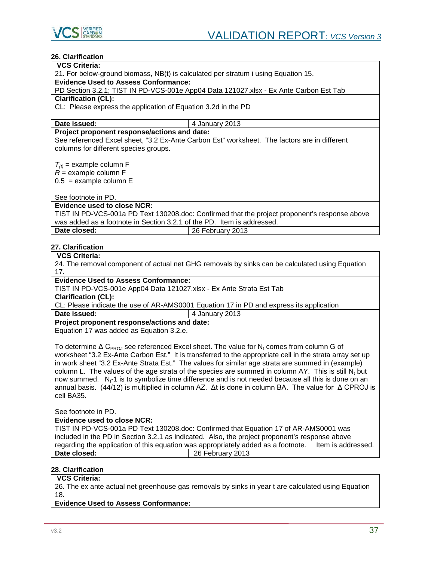

# **26. Clarification**

#### **VCS Criteria:**

21. For below-ground biomass, NB(t) is calculated per stratum i using Equation 15.

# **Evidence Used to Assess Conformance:**

PD Section 3.2.1; TIST IN PD-VCS-001e App04 Data 121027.xlsx - Ex Ante Carbon Est Tab **Clarification (CL):**

CL: Please express the application of Equation 3.2d in the PD

**Date issued:**  $\begin{array}{|c|c|c|c|} \hline \end{array}$  4 January 2013

# **Project proponent response/actions and date:**

See referenced Excel sheet, "3.2 Ex-Ante Carbon Est" worksheet. The factors are in different columns for different species groups.

 $T_{(t)}$  = example column F

 $R =$  example column F

 $0.5$  = example column E

See footnote in PD.

# **Evidence used to close NCR:**

TIST IN PD-VCS-001a PD Text 130208.doc: Confirmed that the project proponent's response above was added as a footnote in Section 3.2.1 of the PD. Item is addressed. **Date closed:** 26 February 2013

# **27. Clarification**

# **VCS Criteria:**

24. The removal component of actual net GHG removals by sinks can be calculated using Equation 17.

# **Evidence Used to Assess Conformance:**

TIST IN PD-VCS-001e App04 Data 121027.xlsx - Ex Ante Strata Est Tab

**Clarification (CL):**

CL: Please indicate the use of AR-AMS0001 Equation 17 in PD and express its application

#### **Date issued:**  $\begin{array}{|c|c|c|}\n\hline\n\end{array}$  4 January 2013

**Project proponent response/actions and date:**

Equation 17 was added as Equation 3.2.e.

To determine  $\Delta$  C<sub>PROJ</sub> see referenced Excel sheet. The value for N<sub>t</sub> comes from column G of worksheet "3.2 Ex-Ante Carbon Est." It is transferred to the appropriate cell in the strata array set up in work sheet "3.2 Ex-Ante Strata Est." The values for similar age strata are summed in (example) column L. The values of the age strata of the species are summed in column AY. This is still N<sub>t</sub> but now summed. N<sub>t</sub>-1 is to symbolize time difference and is not needed because all this is done on an annual basis. (44/12) is multiplied in column AZ. Δt is done in column BA. The value for Δ CPROJ is cell BA35.

See footnote in PD.

# **Evidence used to close NCR:**

TIST IN PD-VCS-001a PD Text 130208.doc: Confirmed that Equation 17 of AR-AMS0001 was included in the PD in Section 3.2.1 as indicated. Also, the project proponent's response above regarding the application of this equation was appropriately added as a footnote. Item is addressed.<br>
Date closed: 26 February 2013 **Date closed:** 26 February 2013

# **28. Clarification**

# **VCS Criteria:**

26. The ex ante actual net greenhouse gas removals by sinks in year t are calculated using Equation 18.

**Evidence Used to Assess Conformance:**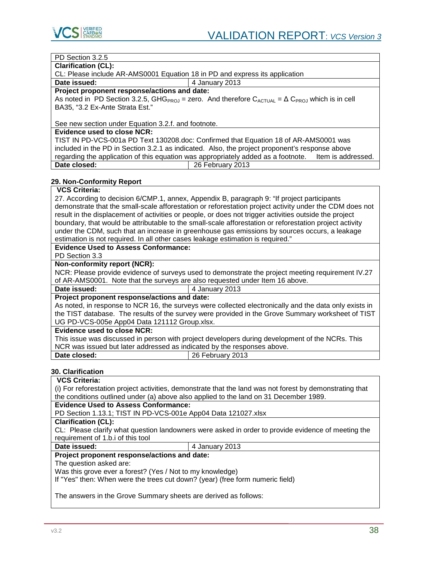

# PD Section 3.2.5

**Clarification (CL):**

CL: Please include AR-AMS0001 Equation 18 in PD and express its application

**Date issued:**  $\vert$  4 January 2013

**Project proponent response/actions and date:**

As noted in PD Section 3.2.5, GHG<sub>PROJ</sub> = zero. And therefore  $C_{ACTUAL} = \Delta C_{PROL}$  which is in cell BA35, "3.2 Ex-Ante Strata Est."

See new section under Equation 3.2.f. and footnote.

# **Evidence used to close NCR:**

TIST IN PD-VCS-001a PD Text 130208.doc: Confirmed that Equation 18 of AR-AMS0001 was included in the PD in Section 3.2.1 as indicated. Also, the project proponent's response above regarding the application of this equation was appropriately added as a footnote. Item is addressed. **Date closed:** 26 February 2013

# **29. Non-Conformity Report**

# **VCS Criteria:**

27. According to decision 6/CMP.1, annex, Appendix B, paragraph 9: "If project participants demonstrate that the small-scale afforestation or reforestation project activity under the CDM does not result in the displacement of activities or people, or does not trigger activities outside the project boundary, that would be attributable to the small-scale afforestation or reforestation project activity under the CDM, such that an increase in greenhouse gas emissions by sources occurs, a leakage estimation is not required. In all other cases leakage estimation is required."

# **Evidence Used to Assess Conformance:**

PD Section 3.3

#### **Non-conformity report (NCR):**

NCR: Please provide evidence of surveys used to demonstrate the project meeting requirement IV.27 of AR-AMS0001. Note that the surveys are also requested under Item 16 above.<br>Date issued:  $\frac{14 \text{ January } 2013}$ 

**Date issued:** 4 January 2013

# **Project proponent response/actions and date:**

As noted, in response to NCR 16, the surveys were collected electronically and the data only exists in the TIST database. The results of the survey were provided in the Grove Summary worksheet of TIST UG PD-VCS-005e App04 Data 121112 Group.xlsx.

# **Evidence used to close NCR:**

This issue was discussed in person with project developers during development of the NCRs. This NCR was issued but later addressed as indicated by the responses above.<br>Date closed:  $\sqrt{\frac{26}{120}}$  February 2013

**Date closed:** 26 February 2013

# **30. Clarification**

# **VCS Criteria:**

(i) For reforestation project activities, demonstrate that the land was not forest by demonstrating that the conditions outlined under (a) above also applied to the land on 31 December 1989.

# **Evidence Used to Assess Conformance:**

PD Section 1.13.1; TIST IN PD-VCS-001e App04 Data 121027.xlsx

# **Clarification (CL):**

CL: Please clarify what question landowners were asked in order to provide evidence of meeting the requirement of 1.b.i of this tool

**Date issued:** 4 January 2013

# **Project proponent response/actions and date:**

#### The question asked are:

Was this grove ever a forest? (Yes / Not to my knowledge)

If "Yes" then: When were the trees cut down? (year) (free form numeric field)

The answers in the Grove Summary sheets are derived as follows: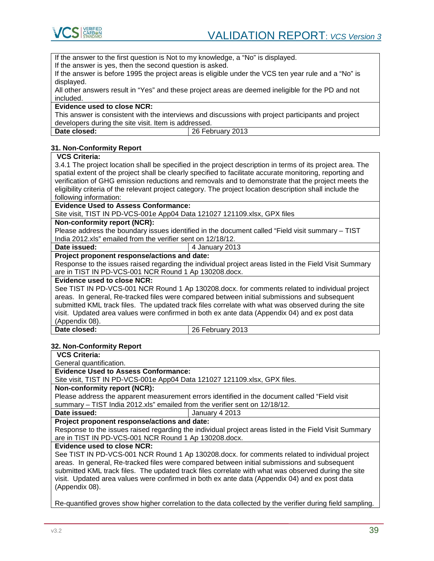

If the answer to the first question is Not to my knowledge, a "No" is displayed.

If the answer is yes, then the second question is asked.

If the answer is before 1995 the project areas is eligible under the VCS ten year rule and a "No" is displayed.

All other answers result in "Yes" and these project areas are deemed ineligible for the PD and not included.

# **Evidence used to close NCR:**

This answer is consistent with the interviews and discussions with project participants and project developers during the site visit. Item is addressed.

| Date closed: |  |
|--------------|--|
|              |  |

**Date closed:** 26 February 2013

# **31. Non-Conformity Report**

# **VCS Criteria:**

3.4.1 The project location shall be specified in the project description in terms of its project area. The spatial extent of the project shall be clearly specified to facilitate accurate monitoring, reporting and verification of GHG emission reductions and removals and to demonstrate that the project meets the eligibility criteria of the relevant project category. The project location description shall include the following information:

# **Evidence Used to Assess Conformance:**

Site visit, TIST IN PD-VCS-001e App04 Data 121027 121109.xlsx, GPX files

# **Non-conformity report (NCR):**

Please address the boundary issues identified in the document called "Field visit summary – TIST India 2012.xls" emailed from the verifier sent on 12/18/12.

| Date issued: | 4 January 2013 |
|--------------|----------------|
|--------------|----------------|

**Project proponent response/actions and date:**

Response to the issues raised regarding the individual project areas listed in the Field Visit Summary are in TIST IN PD-VCS-001 NCR Round 1 Ap 130208.docx.

#### **Evidence used to close NCR:**

See TIST IN PD-VCS-001 NCR Round 1 Ap 130208.docx. for comments related to individual project areas. In general, Re-tracked files were compared between initial submissions and subsequent submitted KML track files. The updated track files correlate with what was observed during the site visit. Updated area values were confirmed in both ex ante data (Appendix 04) and ex post data (Appendix 08).

**Date closed:** 26 February 2013

# **32. Non-Conformity Report**

**VCS Criteria:** 

General quantification.

**Evidence Used to Assess Conformance:**

Site visit, TIST IN PD-VCS-001e App04 Data 121027 121109.xlsx, GPX files.

# **Non-conformity report (NCR):**

Please address the apparent measurement errors identified in the document called "Field visit summary – TIST India 2012.xls" emailed from the verifier sent on 12/18/12.

**Date issued:**  $\vert$  January 4 2013

# **Project proponent response/actions and date:**

Response to the issues raised regarding the individual project areas listed in the Field Visit Summary are in TIST IN PD-VCS-001 NCR Round 1 Ap 130208.docx.

# **Evidence used to close NCR:**

See TIST IN PD-VCS-001 NCR Round 1 Ap 130208.docx. for comments related to individual project areas. In general, Re-tracked files were compared between initial submissions and subsequent submitted KML track files. The updated track files correlate with what was observed during the site visit. Updated area values were confirmed in both ex ante data (Appendix 04) and ex post data (Appendix 08).

Re-quantified groves show higher correlation to the data collected by the verifier during field sampling.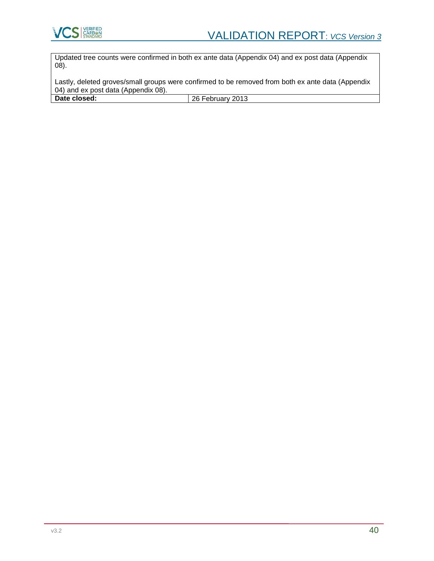

Updated tree counts were confirmed in both ex ante data (Appendix 04) and ex post data (Appendix 08).

Lastly, deleted groves/small groups were confirmed to be removed from both ex ante data (Appendix 04) and ex post data (Appendix 08).

**Date closed:** 26 February 2013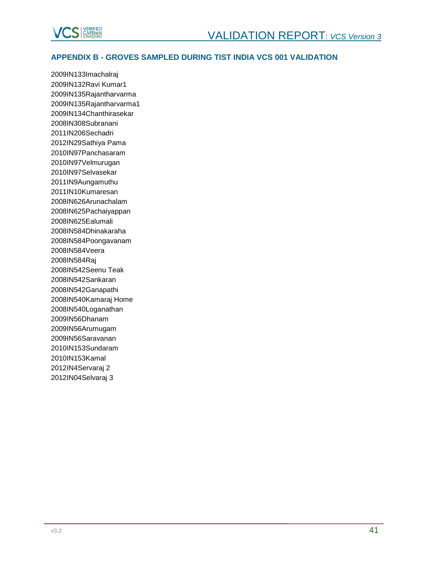

# <span id="page-40-0"></span>**APPENDIX B - GROVES SAMPLED DURING TIST INDIA VCS 001 VALIDATION**

2009IN133Imachalraj 2009IN132Ravi Kumar1 2009IN135Rajantharvarma 2009IN135Rajantharvarma1 2009IN134Chanthirasekar 2008IN308Subranani 2011IN206Sechadri 2012IN29Sathiya Pama 2010IN97Panchasaram 2010IN97Velmurugan 2010IN97Selvasekar 2011IN9Aungamuthu 2011IN10Kumaresan 2008IN626Arunachalam 2008IN625Pachaiyappan 2008IN625Ealumali 2008IN584Dhinakaraha 2008IN584Poongavanam 2008IN584Veera 2008IN584Raj 2008IN542Seenu Teak 2008IN542Sankaran 2008IN542Ganapathi 2008IN540Kamaraj Home 2008IN540Loganathan 2009IN56Dhanam 2009IN56Arumugam 2009IN56Saravanan 2010IN153Sundaram 2010IN153Kamal 2012IN4Servaraj 2 2012IN04Selvaraj 3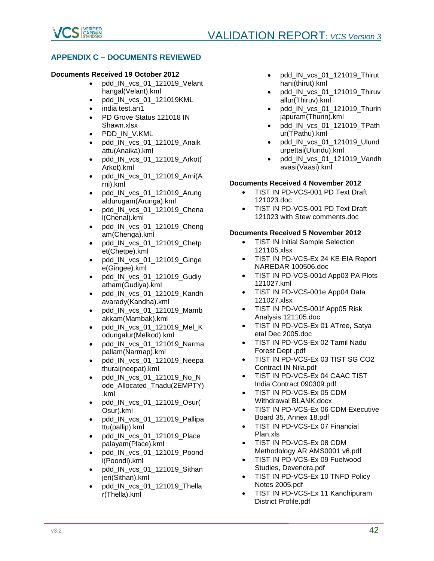

# <span id="page-41-0"></span>**APPENDIX C – DOCUMENTS REVIEWED**

# **Documents Received 19 October 2012**

- pdd IN vcs 01 121019 Velant hangal(Velant).kml
- pdd IN vcs 01 121019KML
- india test.an1
- PD Grove Status 121018 IN Shawn.xlsx
- PDD\_IN\_V.KML
- pdd\_IN\_vcs\_01\_121019\_Anaik attu(Anaika).kml
- pdd\_IN\_vcs\_01\_121019\_Arkot( Arkot).kml
- pdd IN vcs 01 121019 Arni(A rni).kml
- pdd\_IN\_vcs\_01\_121019\_Arung aldurugam(Arunga).kml
- pdd IN vcs 01 121019 Chena l(Chenal).kml
- pdd IN vcs 01 121019 Cheng am(Chenga).kml
- pdd IN vcs 01 121019 Chetp et(Chetpe).kml
- pdd\_IN\_vcs\_01\_121019\_Ginge e(Gingee).kml
- pdd\_IN\_vcs\_01\_121019\_Gudiy atham(Gudiya).kml
- pdd IN vcs 01 121019 Kandh avarady(Kandha).kml
- pdd\_IN\_vcs\_01\_121019\_Mamb akkam(Mambak).kml
- pdd IN vcs 01 121019 Mel K odungalur(Melkod).kml
- pdd\_IN\_vcs\_01\_121019\_Narma pallam(Narmap).kml
- pdd IN vcs 01 121019 Neepa thurai(neepat).kml
- pdd IN vcs 01 121019 No N ode\_Allocated\_Tnadu(2EMPTY) .kml
- pdd IN vcs 01 121019 Osur( Osur).kml
- pdd\_IN\_vcs\_01\_121019\_Pallipa ttu(pallip).kml
- pdd IN vcs 01 121019 Place palayam(Place).kml
- pdd\_IN\_vcs\_01\_121019\_Poond i(Poondi).kml
- pdd IN vcs 01 121019 Sithan jeri(Sithan).kml
- pdd IN vcs 01 121019 Thella r(Thella).kml
- pdd\_IN\_vcs\_01\_121019\_Thirut hani(thirut).kml
- pdd\_IN\_vcs\_01\_121019\_Thiruv allur(Thiruv).kml
- pdd\_IN\_vcs\_01\_121019\_Thurin japuram(Thurin).kml
- pdd IN vcs 01 121019 TPath ur(TPathu).kml
- pdd IN vcs 01 121019 Ulund urpettai(Ulundu).kml
- pdd IN vcs 01 121019 Vandh avasi(Vaasi).kml

# **Documents Received 4 November 2012**

- TIST IN PD-VCS-001 PD Text Draft 121023.doc
- TIST IN PD-VCS-001 PD Text Draft 121023 with Stew comments.doc

# **Documents Received 5 November 2012**

- TIST IN Initial Sample Selection 121105.xlsx
- TIST IN PD-VCS-Ex 24 KE EIA Report NAREDAR 100506.doc
- TIST IN PD-VCS-001d App03 PA Plots 121027.kml
- TIST IN PD-VCS-001e App04 Data 121027.xlsx
- TIST IN PD-VCS-001f App05 Risk Analysis 121105.doc
- TIST IN PD-VCS-Ex 01 ATree, Satya etal Dec 2005.doc
- TIST IN PD-VCS-Ex 02 Tamil Nadu Forest Dept .pdf
- TIST IN PD-VCS-Ex 03 TIST SG CO2 Contract IN Nila.pdf
- TIST IN PD-VCS-Ex 04 CAAC TIST India Contract 090309.pdf
- TIST IN PD-VCS-Ex 05 CDM Withdrawal BLANK.docx
- **TIST IN PD-VCS-Ex 06 CDM Executive** Board 35, Annex 18.pdf
- TIST IN PD-VCS-Ex 07 Financial Plan.xls
- TIST IN PD-VCS-Ex 08 CDM Methodology AR AMS0001 v6.pdf
- TIST IN PD-VCS-Ex 09 Fuelwood Studies, Devendra.pdf
- **TIST IN PD-VCS-Ex 10 TNFD Policy** Notes 2005.pdf
- TIST IN PD-VCS-Ex 11 Kanchipuram District Profile.pdf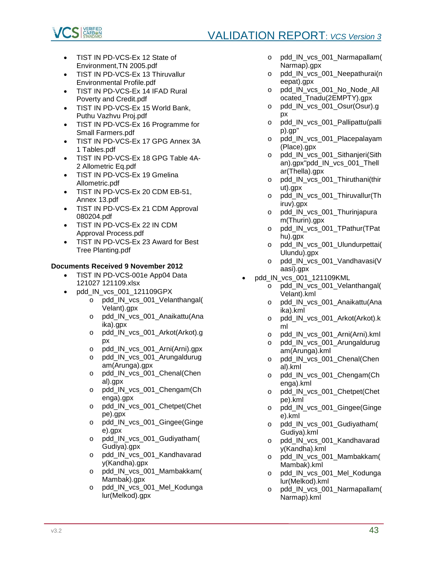



- TIST IN PD-VCS-Ex 12 State of Environment,TN 2005.pdf
- TIST IN PD-VCS-Ex 13 Thiruvallur Environmental Profile.pdf
- TIST IN PD-VCS-Ex 14 IFAD Rural Poverty and Credit.pdf
- TIST IN PD-VCS-Ex 15 World Bank, Puthu Vazhvu Proj.pdf
- TIST IN PD-VCS-Ex 16 Programme for Small Farmers.pdf
- TIST IN PD-VCS-Ex 17 GPG Annex 3A 1 Tables.pdf
- TIST IN PD-VCS-Ex 18 GPG Table 4A-2 Allometric Eq.pdf
- TIST IN PD-VCS-Ex 19 Gmelina Allometric.pdf
- TIST IN PD-VCS-Ex 20 CDM EB-51, Annex 13.pdf
- TIST IN PD-VCS-Ex 21 CDM Approval 080204.pdf
- TIST IN PD-VCS-Ex 22 IN CDM Approval Process.pdf
- TIST IN PD-VCS-Ex 23 Award for Best Tree Planting.pdf

# **Documents Received 9 November 2012**

- TIST IN PD-VCS-001e App04 Data 121027 121109.xlsx
- pdd\_IN\_vcs\_001\_121109GPX
	- o pdd\_IN\_vcs\_001\_Velanthangal( Velant).gpx
	- o pdd IN vcs 001 Anaikattu(Ana ika).gpx
	- o pdd\_IN\_vcs\_001\_Arkot(Arkot).g px
	- o pdd\_IN\_vcs\_001\_Arni(Arni).gpx<br>o pdd IN vcs 001 Arungaldurug
	- pdd\_IN\_vcs\_001\_Arungaldurug am(Arunga).gpx
	- o pdd\_IN\_vcs\_001\_Chenal(Chen al).gpx
	- o pdd\_IN\_vcs\_001\_Chengam(Ch enga).gpx
	- o pdd\_IN\_vcs\_001\_Chetpet(Chet pe).gpx
	- o pdd\_IN\_vcs\_001\_Gingee(Ginge e).gpx
	- o pdd\_IN\_vcs\_001\_Gudiyatham( Gudiya).gpx
	- o pdd\_IN\_vcs\_001\_Kandhavarad y(Kandha).gpx
	- o pdd\_IN\_vcs\_001\_Mambakkam( Mambak).gpx
	- o pdd\_IN\_vcs\_001\_Mel\_Kodunga lur(Melkod).gpx
- o pdd\_IN\_vcs\_001\_Narmapallam( Narmap).gpx
- o pdd\_IN\_vcs\_001\_Neepathurai(n eepat).gpx
- o pdd\_IN\_vcs\_001\_No\_Node\_All ocated\_Tnadu(2EMPTY).gpx
- o pdd\_IN\_vcs\_001\_Osur(Osur).g px
- o pdd\_IN\_vcs\_001\_Pallipattu(palli p).gp"
- o pdd\_IN\_vcs\_001\_Placepalayam (Place).gpx
- o pdd IN vcs 001 Sithanjeri(Sith an).gpx"pdd\_IN\_vcs\_001\_Thell ar(Thella).gpx
- o pdd\_IN\_vcs\_001\_Thiruthani(thir ut).gpx
- o pdd\_IN\_vcs\_001\_Thiruvallur(Th iruv).gpx
- o pdd\_IN\_vcs\_001\_Thurinjapura m(Thurin).gpx
- o pdd IN vcs 001 TPathur(TPat hu).gpx
- o pdd\_IN\_vcs\_001\_Ulundurpettai( Ulundu).gpx
- o pdd\_IN\_vcs\_001\_Vandhavasi(V aasi).gpx
- pdd\_IN\_vcs\_001\_121109KML
	- o pdd\_IN\_vcs\_001\_Velanthangal( Velant).kml
	- o pdd IN vcs 001 Anaikattu(Ana ika).kml
	- o pdd\_IN\_vcs\_001\_Arkot(Arkot).k ml
	- o pdd\_IN\_vcs\_001\_Arni(Arni).kml
	- o pdd\_IN\_vcs\_001\_Arungaldurug am(Arunga).kml
	- o pdd\_IN\_vcs\_001\_Chenal(Chen al).kml
	- o pdd IN vcs 001 Chengam(Ch enga).kml
	- o pdd\_IN\_vcs\_001\_Chetpet(Chet pe).kml
	- o pdd\_IN\_vcs\_001\_Gingee(Ginge e).kml
	- o pdd\_IN\_vcs\_001\_Gudiyatham( Gudiya).kml
	- o pdd\_IN\_vcs\_001\_Kandhavarad y(Kandha).kml
	- o pdd\_IN\_vcs\_001\_Mambakkam( Mambak).kml
	- o pdd IN vcs 001 Mel Kodunga lur(Melkod).kml
	- o pdd\_IN\_vcs\_001\_Narmapallam( Narmap).kml